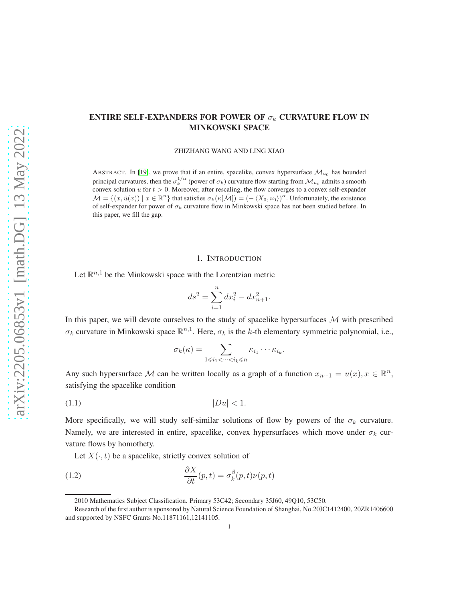# ENTIRE SELF-EXPANDERS FOR POWER OF  $\sigma_k$  CURVATURE FLOW IN MINKOWSKI SPACE

ZHIZHANG WANG AND LING XIAO

ABSTRACT. In [\[19\]](#page-23-0), we prove that if an entire, spacelike, convex hypersurface  $\mathcal{M}_{u_0}$  has bounded principal curvatures, then the  $\sigma_k^{1/\alpha}$  (power of  $\sigma_k$ ) curvature flow starting from  $\mathcal{M}_{u_0}$  admits a smooth convex solution u for  $t > 0$ . Moreover, after rescaling, the flow converges to a convex self-expander  $\tilde{\mathcal{M}} = \{(x, \tilde{u}(x)) \mid x \in \mathbb{R}^n\}$  that satisfies  $\sigma_k(\kappa[\tilde{\mathcal{M}}]) = (-\langle X_0, \nu_0 \rangle)^\alpha$ . Unfortunately, the existence of self-expander for power of  $\sigma_k$  curvature flow in Minkowski space has not been studied before. In this paper, we fill the gap.

## 1. INTRODUCTION

Let  $\mathbb{R}^{n,1}$  be the Minkowski space with the Lorentzian metric

$$
ds^2 = \sum_{i=1}^n dx_i^2 - dx_{n+1}^2.
$$

In this paper, we will devote ourselves to the study of spacelike hypersurfaces  $M$  with prescribed  $\sigma_k$  curvature in Minkowski space  $\mathbb{R}^{n,1}$ . Here,  $\sigma_k$  is the k-th elementary symmetric polynomial, i.e.,

$$
\sigma_k(\kappa) = \sum_{1 \leq i_1 < \dots < i_k \leq n} \kappa_{i_1} \cdots \kappa_{i_k}.
$$

Any such hypersurface M can be written locally as a graph of a function  $x_{n+1} = u(x), x \in \mathbb{R}^n$ , satisfying the spacelike condition

$$
|Du|<1.
$$

More specifically, we will study self-similar solutions of flow by powers of the  $\sigma_k$  curvature. Namely, we are interested in entire, spacelike, convex hypersurfaces which move under  $\sigma_k$  curvature flows by homothety.

<span id="page-0-0"></span>Let  $X(\cdot, t)$  be a spacelike, strictly convex solution of

(1.2) 
$$
\frac{\partial X}{\partial t}(p,t) = \sigma_k^{\beta}(p,t)\nu(p,t)
$$

<sup>2010</sup> Mathematics Subject Classification. Primary 53C42; Secondary 35J60, 49Q10, 53C50.

Research of the first author is sponsored by Natural Science Foundation of Shanghai, No.20JC1412400, 20ZR1406600 and supported by NSFC Grants No.11871161,12141105.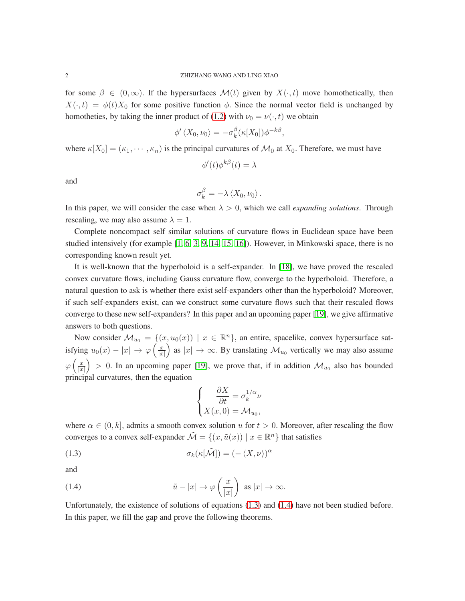for some  $\beta \in (0,\infty)$ . If the hypersurfaces  $\mathcal{M}(t)$  given by  $X(\cdot,t)$  move homothetically, then  $X(\cdot, t) = \phi(t)X_0$  for some positive function  $\phi$ . Since the normal vector field is unchanged by homotheties, by taking the inner product of [\(1.2\)](#page-0-0) with  $\nu_0 = \nu(\cdot, t)$  we obtain

$$
\phi'\langle X_0,\nu_0\rangle=-\sigma_k^{\beta}(\kappa[X_0])\phi^{-k\beta},
$$

where  $\kappa[X_0] = (\kappa_1, \cdots, \kappa_n)$  is the principal curvatures of  $\mathcal{M}_0$  at  $X_0$ . Therefore, we must have

$$
\phi'(t)\phi^{k\beta}(t) = \lambda
$$

and

$$
\sigma_k^{\beta} = -\lambda \left\langle X_0, \nu_0 \right\rangle.
$$

In this paper, we will consider the case when  $\lambda > 0$ , which we call *expanding solutions*. Through rescaling, we may also assume  $\lambda = 1$ .

Complete noncompact self similar solutions of curvature flows in Euclidean space have been studied intensively (for example  $[1, 6, 3, 9, 14, 15, 16]$  $[1, 6, 3, 9, 14, 15, 16]$  $[1, 6, 3, 9, 14, 15, 16]$  $[1, 6, 3, 9, 14, 15, 16]$  $[1, 6, 3, 9, 14, 15, 16]$  $[1, 6, 3, 9, 14, 15, 16]$  $[1, 6, 3, 9, 14, 15, 16]$ ). However, in Minkowski space, there is no corresponding known result yet.

It is well-known that the hyperboloid is a self-expander. In [\[18\]](#page-23-6), we have proved the rescaled convex curvature flows, including Gauss curvature flow, converge to the hyperboloid. Therefore, a natural question to ask is whether there exist self-expanders other than the hyperboloid? Moreover, if such self-expanders exist, can we construct some curvature flows such that their rescaled flows converge to these new self-expanders? In this paper and an upcoming paper [\[19\]](#page-23-0), we give affirmative answers to both questions.

Now consider  $\mathcal{M}_{u_0} = \{(x, u_0(x)) \mid x \in \mathbb{R}^n\}$ , an entire, spacelike, convex hypersurface satisfying  $u_0(x) - |x| \to \varphi \left( \frac{x}{|x|} \right)$  $|x|$ as  $|x| \to \infty$ . By translating  $\mathcal{M}_{u_0}$  vertically we may also assume  $\varphi\left(\frac{x}{\lg x}\right)$  $|x|$  $\big) > 0$ . In an upcoming paper [\[19\]](#page-23-0), we prove that, if in addition  $\mathcal{M}_{u_0}$  also has bounded principal curvatures, then the equation

<span id="page-1-1"></span><span id="page-1-0"></span>
$$
\begin{cases}\n\frac{\partial X}{\partial t} = \sigma_k^{1/\alpha} \nu \\
X(x, 0) = \mathcal{M}_{u_0},\n\end{cases}
$$

where  $\alpha \in (0, k]$ , admits a smooth convex solution u for  $t > 0$ . Moreover, after rescaling the flow converges to a convex self-expander  $\tilde{\mathcal{M}} = \{(x, \tilde{u}(x)) \mid x \in \mathbb{R}^n\}$  that satisfies

(1.3) 
$$
\sigma_k(\kappa[\tilde{\mathcal{M}}]) = (-\langle X, \nu \rangle)^{\alpha}
$$

and

(1.4) 
$$
\tilde{u} - |x| \to \varphi\left(\frac{x}{|x|}\right) \text{ as } |x| \to \infty.
$$

Unfortunately, the existence of solutions of equations [\(1.3\)](#page-1-0) and [\(1.4\)](#page-1-1) have not been studied before. In this paper, we fill the gap and prove the following theorems.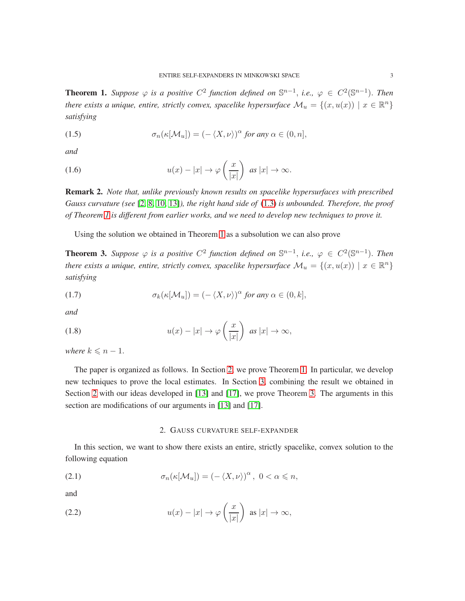<span id="page-2-0"></span>**Theorem 1.** Suppose  $\varphi$  is a positive  $C^2$  function defined on  $\mathbb{S}^{n-1}$ , i.e.,  $\varphi \in C^2(\mathbb{S}^{n-1})$ . Then *there exists a unique, entire, strictly convex, spacelike hypersurface*  $\mathcal{M}_u = \{(x, u(x)) \mid x \in \mathbb{R}^n\}$ *satisfying*

(1.5) 
$$
\sigma_n(\kappa[\mathcal{M}_u]) = (-\langle X, \nu \rangle)^\alpha \text{ for any } \alpha \in (0, n],
$$

*and*

(1.6) 
$$
u(x) - |x| \to \varphi\left(\frac{x}{|x|}\right) \text{ as } |x| \to \infty.
$$

Remark 2. *Note that, unlike previously known results on spacelike hypersurfaces with prescribed Gauss curvature (see* [\[2,](#page-22-2) [8,](#page-23-7) [10,](#page-23-8) [13\]](#page-23-9)*), the right hand side of* [\(1.3\)](#page-1-0) *is unbounded. Therefore, the proof of Theorem [1](#page-2-0) is different from earlier works, and we need to develop new techniques to prove it.*

Using the solution we obtained in Theorem [1](#page-2-0) as a subsolution we can also prove

<span id="page-2-2"></span>**Theorem 3.** Suppose  $\varphi$  is a positive  $C^2$  function defined on  $\mathbb{S}^{n-1}$ , i.e.,  $\varphi \in C^2(\mathbb{S}^{n-1})$ . Then *there exists a unique, entire, strictly convex, spacelike hypersurface*  $\mathcal{M}_u = \{(x, u(x)) \mid x \in \mathbb{R}^n\}$ *satisfying*

(1.7) 
$$
\sigma_k(\kappa[\mathcal{M}_u]) = (-\langle X, \nu \rangle)^\alpha \text{ for any } \alpha \in (0, k],
$$

*and*

(1.8) 
$$
u(x) - |x| \to \varphi\left(\frac{x}{|x|}\right) \text{ as } |x| \to \infty,
$$

*where*  $k \leq n - 1$ .

The paper is organized as follows. In Section [2,](#page-2-1) we prove Theorem [1.](#page-2-0) In particular, we develop new techniques to prove the local estimates. In Section [3,](#page-13-0) combining the result we obtained in Section [2](#page-2-1) with our ideas developed in [\[13\]](#page-23-9) and [\[17\]](#page-23-10), we prove Theorem [3.](#page-2-2) The arguments in this section are modifications of our arguments in [\[13\]](#page-23-9) and [\[17\]](#page-23-10).

# <span id="page-2-4"></span><span id="page-2-3"></span>2. GAUSS CURVATURE SELF-EXPANDER

<span id="page-2-1"></span>In this section, we want to show there exists an entire, strictly spacelike, convex solution to the following equation

(2.1) 
$$
\sigma_n(\kappa[\mathcal{M}_u]) = (-\langle X, \nu \rangle)^\alpha, \ 0 < \alpha \leq n,
$$

and

(2.2) 
$$
u(x) - |x| \to \varphi\left(\frac{x}{|x|}\right) \text{ as } |x| \to \infty,
$$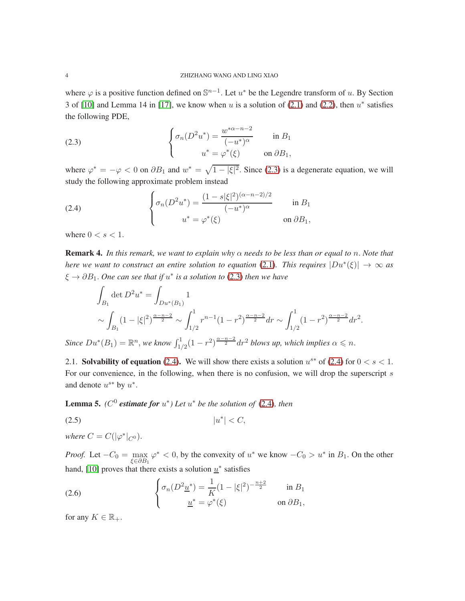where  $\varphi$  is a positive function defined on  $\mathbb{S}^{n-1}$ . Let  $u^*$  be the Legendre transform of u. By Section 3 of [\[10\]](#page-23-8) and Lemma 14 in [\[17\]](#page-23-10), we know when u is a solution of  $(2.1)$  and  $(2.2)$ , then  $u^*$  satisfies the following PDE,

<span id="page-3-0"></span>(2.3) 
$$
\begin{cases} \sigma_n(D^2u^*) = \frac{w^{*\alpha - n - 2}}{(-u^*)^{\alpha}} & \text{in } B_1 \\ u^* = \varphi^*(\xi) & \text{on } \partial B_1, \end{cases}
$$

where  $\varphi^* = -\varphi < 0$  on  $\partial B_1$  and  $w^* = \sqrt{1 - |\xi|^2}$ . Since [\(2.3\)](#page-3-0) is a degenerate equation, we will study the following approximate problem instead

<span id="page-3-1"></span>(2.4) 
$$
\begin{cases} \sigma_n(D^2u^*) = \frac{(1-s|\xi|^2)^{(\alpha-n-2)/2}}{(-u^*)^{\alpha}} & \text{in } B_1 \\ u^* = \varphi^*(\xi) & \text{on } \partial B_1, \end{cases}
$$

where  $0 < s < 1$ .

Remark 4. *In this remark, we want to explain why* α *needs to be less than or equal to* n. *Note that here we want to construct an entire solution to equation* [\(2.1\)](#page-2-3). This requires  $|Du^*(\xi)| \to \infty$  as ξ → ∂B1. *One can see that if* u ∗ *is a solution to* [\(2.3\)](#page-3-0) *then we have*

$$
\int_{B_1} \det D^2 u^* = \int_{Du^*(B_1)} 1
$$
\n
$$
\sim \int_{B_1} (1 - |\xi|^2)^{\frac{\alpha - n - 2}{2}} \sim \int_{1/2}^1 r^{n-1} (1 - r^2)^{\frac{\alpha - n - 2}{2}} dr \sim \int_{1/2}^1 (1 - r^2)^{\frac{\alpha - n - 2}{2}} dr^2.
$$

*Since*  $Du^*(B_1) = \mathbb{R}^n$ , *we know*  $\int_{1/2}^1 (1 - r^2)^{\frac{\alpha - n - 2}{2}} dr^2$  *blows up, which implies*  $\alpha \leq n$ .

2.1. Solvability of equation [\(2.4\)](#page-3-1). We will show there exists a solution  $u^{s*}$  of [\(2.4\)](#page-3-1) for  $0 < s < 1$ . For our convenience, in the following, when there is no confusion, we will drop the superscript s and denote  $u^{s*}$  by  $u^*$ .

<span id="page-3-3"></span>**Lemma 5.** *(* $C^0$  *estimate for*  $u^*$ *) Let*  $u^*$  *be the solution of* [\(2.4\)](#page-3-1)*, then* 

$$
|u^*| < C,
$$

*where*  $C = C(|\varphi^*|_{C^0})$ .

*Proof.* Let  $-C_0 = \max_{\xi \in \partial B_1}$  $\varphi^*$  < 0, by the convexity of  $u^*$  we know  $-C_0 > u^*$  in  $B_1$ . On the other hand, [\[10\]](#page-23-8) proves that there exists a solution  $u^*$  satisfies

<span id="page-3-2"></span>(2.6) 
$$
\begin{cases} \sigma_n(D^2 \underline{u}^*) = \frac{1}{K} (1 - |\xi|^2)^{-\frac{n+2}{2}} & \text{in } B_1 \\ \underline{u}^* = \varphi^*(\xi) & \text{on } \partial B_1, \end{cases}
$$

for any  $K \in \mathbb{R}_+$ .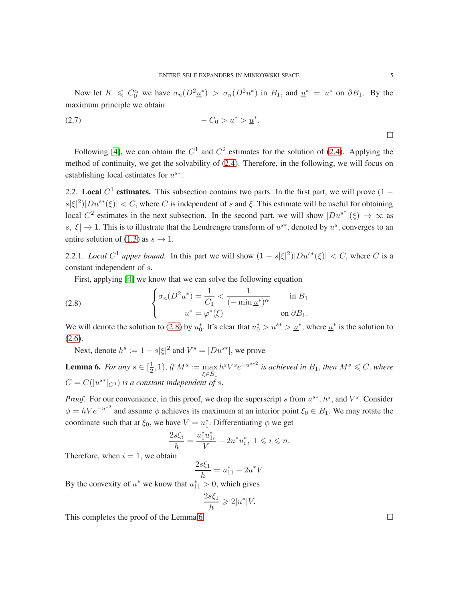Now let  $K \leq C_0^{\alpha}$  we have  $\sigma_n(D^2 \underline{u}^*) > \sigma_n(D^2 u^*)$  in  $B_1$ , and  $\underline{u}^* = u^*$  on  $\partial B_1$ . By the maximum principle we obtain

$$
-C_0 > u^* > \underline{u}^*.
$$

Following [\[4\]](#page-23-11), we can obtain the  $C^1$  and  $C^2$  estimates for the solution of [\(2.4\)](#page-3-1). Applying the method of continuity, we get the solvability of [\(2.4\)](#page-3-1). Therefore, in the following, we will focus on establishing local estimates for  $u^{s*}$ .

2.2. Local  $C<sup>1</sup>$  estimates. This subsection contains two parts. In the first part, we will prove  $(1$  $s|\xi|^2|Du^{s*}(\xi)| < C$ , where C is independent of s and  $\xi$ . This estimate will be useful for obtaining local  $C^2$  estimates in the next subsection. In the second part, we will show  $|Du^{s^*}|(\xi) \to \infty$  as s,  $|\xi| \to 1$ . This is to illustrate that the Lendrengre transform of  $u^{s*}$ , denoted by  $u^s$ , converges to an entire solution of [\(1.3\)](#page-1-0) as  $s \to 1$ .

2.2.1. *Local*  $C^1$  *upper bound.* In this part we will show  $(1 - s|\xi|^2)|Du^{s*}(\xi)| < C$ , where C is a constant independent of s.

<span id="page-4-0"></span>First, applying [\[4\]](#page-23-11) we know that we can solve the following equation

(2.8) 
$$
\begin{cases} \sigma_n(D^2u^*) = \frac{1}{C_1} < \frac{1}{(-\min \underline{u}^*)^\alpha} & \text{in } B_1 \\ u^* = \varphi^*(\xi) & \text{on } \partial B_1. \end{cases}
$$

We will denote the solution to [\(2.8\)](#page-4-0) by  $u_0^*$ . It's clear that  $u_0^* > u^{**} > u_*^*$ , where  $u_*^*$  is the solution to [\(2.6\)](#page-3-2).

Next, denote  $h^s := 1 - s|\xi|^2$  and  $V^s = |Du^{s*}|$ , we prove

<span id="page-4-1"></span>**Lemma 6.** *For any*  $s \in \left[\frac{1}{2}\right]$  $(\frac{1}{2}, 1), \text{ if } M^s := \max_{\zeta \in \bar{P}_s}$  $\xi \in \bar{B}_1$  $h^s V^s e^{-u^{s+2}}$  is achieved in  $B_1$ , then  $M^s \leqslant C$ , where  $C = C(|u^{s*}|_{C^0})$  *is a constant independent of s.* 

*Proof.* For our convenience, in this proof, we drop the superscript s from  $u^{s*}$ ,  $h^s$ , and  $V^s$ . Consider  $\phi = hVe^{-u^{*2}}$  and assume  $\phi$  achieves its maximum at an interior point  $\xi_0 \in B_1$ . We may rotate the coordinate such that at  $\xi_0$ , we have  $V = u_1^*$ . Differentiating  $\phi$  we get

$$
\frac{2s\xi_i}{h} = \frac{u_1^* u_{1i}^*}{V} - 2u^* u_i^*, \ 1 \le i \le n.
$$

Therefore, when  $i = 1$ , we obtain

$$
\frac{2s\xi_1}{h} = u_{11}^* - 2u^*V.
$$
  
By the convexity of  $u^*$  we know that  $u_{11}^* > 0$ , which gives  

$$
\frac{2s\xi_1}{h} \ge 2|u^*|V.
$$

This completes the proof of the Lemma [6.](#page-4-1)  $\Box$ 

 $\Box$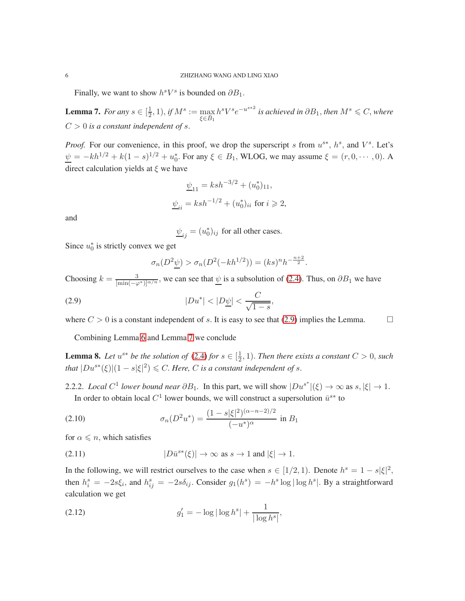Finally, we want to show  $h^sV^s$  is bounded on  $\partial B_1$ .

<span id="page-5-1"></span>**Lemma 7.** *For any*  $s \in \left[\frac{1}{2}\right]$  $(\frac{1}{2}, 1), if M^s := \max_{\zeta \in \bar{P}}$  $\xi \in \bar{B}_1$  $h^s V^s e^{-u^{s*2}}$  is achieved in  $\partial B_1$ , then  $M^s \leqslant C$ , where  $C > 0$  *is a constant independent of s.* 

*Proof.* For our convenience, in this proof, we drop the superscript s from  $u^{s*}$ ,  $h^s$ , and  $V^s$ . Let's  $\psi = -kh^{1/2} + k(1-s)^{1/2} + u_0^*$ . For any  $\xi \in B_1$ , WLOG, we may assume  $\xi = (r, 0, \dots, 0)$ . A direct calculation yields at  $\xi$  we have

$$
\underline{\psi}_{11} = ksh^{-3/2} + (u_0^*)_{11},
$$
  

$$
\underline{\psi}_{ii} = ksh^{-1/2} + (u_0^*)_{ii}
$$
 for  $i \ge 2$ ,

and

$$
\underline{\psi}_{ij} = (u_0^*)_{ij}
$$
 for all other cases.

Since  $u_0^*$  is strictly convex we get

<span id="page-5-0"></span>
$$
\sigma_n(D^2 \underline{\psi}) > \sigma_n(D^2(-kh^{1/2})) = (ks)^n h^{-\frac{n+2}{2}}.
$$

Choosing  $k = \frac{3}{\left[\min(-\varphi^*)\right]^{\alpha/n}}$ , we can see that  $\psi$  is a subsolution of [\(2.4\)](#page-3-1). Thus, on  $\partial B_1$  we have

(2.9) 
$$
|Du^*| < |D\underline{\psi}| < \frac{C}{\sqrt{1-s}}
$$

where  $C > 0$  is a constant independent of s. It is easy to see that [\(2.9\)](#page-5-0) implies the Lemma.

,

Combining Lemma [6](#page-4-1) and Lemma [7](#page-5-1) we conclude

<span id="page-5-4"></span>**Lemma 8.** Let  $u^{s*}$  be the solution of [\(2.4\)](#page-3-1) for  $s \in \left[\frac{1}{2}\right]$  $(\frac{1}{2}, 1)$ . *Then there exists a constant*  $C > 0$ , *such that*  $|Du^{s*}(\xi)|(1-s|\xi|^2) \leq C$ . *Here,* C *is a constant independent of s.* 

2.2.2. *Local*  $C^1$  lower bound near  $\partial B_1$ . In this part, we will show  $|Du^{s^*}|(\xi) \to \infty$  as  $s, |\xi| \to 1$ . In order to obtain local  $C^1$  lower bounds, we will construct a supersolution  $\bar{u}^{s*}$  to

<span id="page-5-2"></span>(2.10) 
$$
\sigma_n(D^2 u^*) = \frac{(1 - s|\xi|^2)^{(\alpha - n - 2)/2}}{(-u^*)^{\alpha}} \text{ in } B_1
$$

for  $\alpha \leq n$ , which satisfies

<span id="page-5-3"></span>(2.11) 
$$
|D\bar{u}^{s*}(\xi)| \to \infty \text{ as } s \to 1 \text{ and } |\xi| \to 1.
$$

In the following, we will restrict ourselves to the case when  $s \in [1/2, 1)$ . Denote  $h^s = 1 - s|\xi|^2$ , then  $h_i^s = -2s\xi_i$ , and  $h_{ij}^s = -2s\delta_{ij}$ . Consider  $g_1(h^s) = -h^s \log |\log h^s|$ . By a straightforward calculation we get

(2.12) 
$$
g'_1 = -\log|\log h^s| + \frac{1}{|\log h^s|},
$$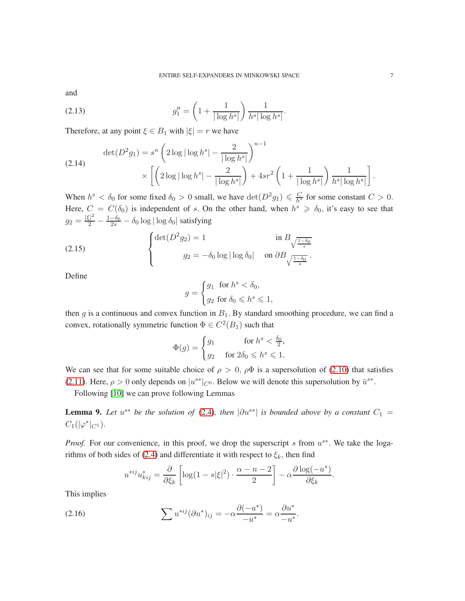and

(2.13) 
$$
g_1'' = \left(1 + \frac{1}{|\log h^s|}\right) \frac{1}{h^s |\log h^s|}.
$$

Therefore, at any point  $\xi \in B_1$  with  $|\xi| = r$  we have

$$
\det(D^2 g_1) = s^n \left( 2 \log |\log h^s| - \frac{2}{|\log h^s|} \right)^{n-1} \times \left[ \left( 2 \log |\log h^s| - \frac{2}{|\log h^s|} \right) + 4sr^2 \left( 1 + \frac{1}{|\log h^s|} \right) \frac{1}{h^s |\log h^s|} \right].
$$

When  $h^s < \delta_0$  for some fixed  $\delta_0 > 0$  small, we have  $\det(D^2 g_1) \leq \frac{C}{h^s}$  for some constant  $C > 0$ . Here,  $C = C(\delta_0)$  is independent of s. On the other hand, when  $h^s \geq \delta_0$ , it's easy to see that  $g_2 = \frac{|\xi|^2}{2}$  $\frac{z_1^2}{2} - \frac{1-\delta_0}{2s} - \delta_0 \log |\log \delta_0|$  satisfying

(2.15) 
$$
\begin{cases} \det(D^2 g_2) = 1 & \text{in } B_{\sqrt{\frac{1-\delta_0}{s}}}\\ g_2 = -\delta_0 \log|\log \delta_0| & \text{on } \partial B_{\sqrt{\frac{1-\delta_0}{s}}}.\end{cases}
$$

Define

$$
g = \begin{cases} g_1 & \text{for } h^s < \delta_0, \\ g_2 & \text{for } \delta_0 \leqslant h^s \leqslant 1, \end{cases}
$$

then g is a continuous and convex function in  $B_1$ . By standard smoothing procedure, we can find a convex, rotationally symmetric function  $\Phi \in C^2(B_1)$  such that

$$
\Phi(g) = \begin{cases} g_1 & \text{for } h^s < \frac{\delta_0}{2}, \\ g_2 & \text{for } 2\delta_0 \leqslant h^s \leqslant 1. \end{cases}
$$

We can see that for some suitable choice of  $\rho > 0$ ,  $\rho \Phi$  is a supersolution of [\(2.10\)](#page-5-2) that satisfies [\(2.11\)](#page-5-3). Here,  $\rho > 0$  only depends on  $|u^{s*}|_{C^0}$ . Below we will denote this supersolution by  $\bar{u}^{s*}$ .

Following [\[10\]](#page-23-8) we can prove following Lemmas

<span id="page-6-0"></span>**Lemma 9.** Let  $u^{s*}$  be the solution of [\(2.4\)](#page-3-1), then  $|\partial u^{s*}|$  is bounded above by a constant  $C_1$  =  $C_1(|\varphi^*|_{C^1}).$ 

*Proof.* For our convenience, in this proof, we drop the superscript s from  $u^{s*}$ . We take the loga-rithms of both sides of [\(2.4\)](#page-3-1) and differentiate it with respect to  $\xi_k$ , then find

$$
u^{*ij}u_{kij}^* = \frac{\partial}{\partial \xi_k} \left[ \log(1 - s|\xi|^2) \cdot \frac{\alpha - n - 2}{2} \right] - \alpha \frac{\partial \log(-u^*)}{\partial \xi_k}
$$

.

This implies

(2.16) 
$$
\sum u^{*ij} (\partial u^*)_{ij} = -\alpha \frac{\partial (-u^*)}{-u^*} = \alpha \frac{\partial u^*}{-u^*}.
$$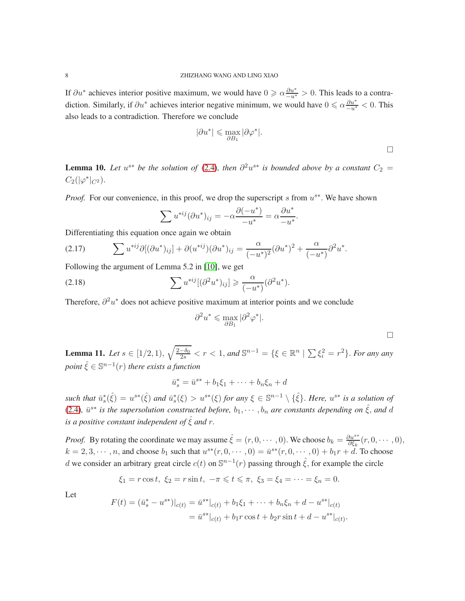If  $\partial u^*$  achieves interior positive maximum, we would have  $0 \ge \alpha \frac{\partial u^*}{\partial u^*} > 0$ . This leads to a contradiction. Similarly, if  $\partial u^*$  achieves interior negative minimum, we would have  $0 \le \alpha \frac{\partial u^*}{\partial u^*} < 0$ . This also leads to a contradiction. Therefore we conclude

$$
|\partial u^*| \leqslant \max_{\partial B_1} |\partial \varphi^*|.
$$

<span id="page-7-0"></span>**Lemma 10.** Let  $u^{s*}$  be the solution of [\(2.4\)](#page-3-1), then  $\partial^2 u^{s*}$  is bounded above by a constant  $C_2 =$  $C_2(|\varphi^*|_{C^2}).$ 

*Proof.* For our convenience, in this proof, we drop the superscript s from  $u^{s*}$ . We have shown

$$
\sum u^{*ij} (\partial u^*)_{ij} = -\alpha \frac{\partial (-u^*)}{-u^*} = \alpha \frac{\partial u^*}{-u^*}.
$$

Differentiating this equation once again we obtain

(2.17) 
$$
\sum u^{*ij} \partial [(\partial u^*)_{ij}] + \partial (u^{*ij}) (\partial u^*)_{ij} = \frac{\alpha}{(-u^*)^2} (\partial u^*)^2 + \frac{\alpha}{(-u^*)} \partial^2 u^*.
$$

Following the argument of Lemma 5.2 in [\[10\]](#page-23-8), we get

(2.18) 
$$
\sum u^{*ij} [(\partial^2 u^*)_{ij}] \geqslant \frac{\alpha}{(-u^*)} (\partial^2 u^*).
$$

Therefore,  $\partial^2 u^*$  does not achieve positive maximum at interior points and we conclude

$$
\partial^2 u^* \leqslant \max_{\partial B_1} |\partial^2 \varphi^*|.
$$

 $\Box$ 

<span id="page-7-1"></span>**Lemma 11.** Let  $s \in [1/2, 1)$ ,  $\sqrt{\frac{2-\delta_0}{2s}} < r < 1$ , and  $\mathbb{S}^{n-1} = \{\xi \in \mathbb{R}^n \mid \sum \xi_i^2 = r^2\}$ . For any any  $point \ \hat{\xi} \in \mathbb{S}^{n-1}(r)$  *there exists a function* 

$$
\bar{u}_s^* = \bar{u}^{s*} + b_1 \xi_1 + \dots + b_n \xi_n + d
$$

 $\text{such that } \bar{u}_s^*(\hat{\xi}) = u^{s*}(\hat{\xi}) \text{ and } \bar{u}_s^*(\xi) > u^{s*}(\xi) \text{ for any } \xi \in \mathbb{S}^{n-1} \setminus {\{\hat{\xi}\}}.$  *Here,*  $u^{s*}$  is a solution of [\(2.4\)](#page-3-1),  $\bar{u}^{s*}$  is the supersolution constructed before,  $b_1, \dots, b_n$  are constants depending on  $\hat{\xi}$ , and d *is a positive constant independent of*  $\hat{\xi}$  *and*  $r$ .

*Proof.* By rotating the coordinate we may assume  $\hat{\xi} = (r, 0, \dots, 0)$ . We choose  $b_k = \frac{\partial u^{s*}}{\partial \xi_k}$  $\frac{\partial u^{s}}{\partial \xi_k}(r,0,\cdots,0),$  $k = 2, 3, \dots, n$ , and choose  $b_1$  such that  $u^{s*}(r, 0, \dots, 0) = \bar{u}^{s*}(r, 0, \dots, 0) + b_1r + d$ . To choose d we consider an arbitrary great circle  $c(t)$  on  $\mathbb{S}^{n-1}(r)$  passing through  $\hat{\xi}$ , for example the circle

$$
\xi_1 = r \cos t, \ \xi_2 = r \sin t, \ -\pi \leq t \leq \pi, \ \xi_3 = \xi_4 = \cdots = \xi_n = 0.
$$

Let

$$
F(t) = (\bar{u}_s^* - u^{s*})|_{c(t)} = \bar{u}^{s*}|_{c(t)} + b_1\xi_1 + \dots + b_n\xi_n + d - u^{s*}|_{c(t)}
$$
  
=  $\bar{u}^{s*}|_{c(t)} + b_1r\cos t + b_2r\sin t + d - u^{s*}|_{c(t)}.$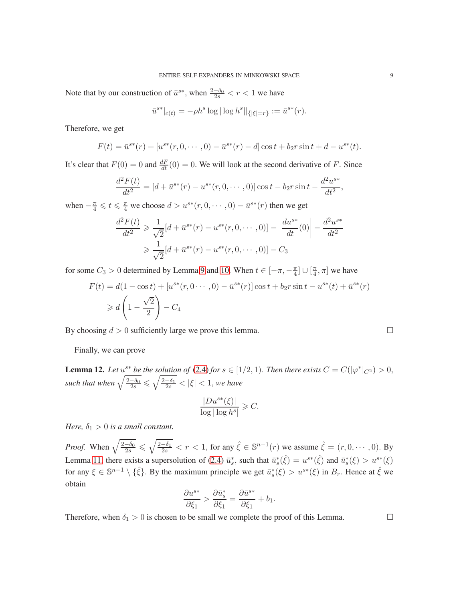Note that by our construction of  $\bar{u}^{s*}$ , when  $\frac{2-\delta_0}{2s} < r < 1$  we have

$$
\bar{u}^{s*}|_{c(t)} = -\rho h^s \log |\log h^s||_{\{|\xi|=r\}} := \bar{u}^{s*}(r).
$$

Therefore, we get

$$
F(t) = \bar{u}^{s*}(r) + [u^{s*}(r, 0, \cdots, 0) - \bar{u}^{s*}(r) - d] \cos t + b_2 r \sin t + d - u^{s*}(t).
$$

It's clear that  $F(0) = 0$  and  $\frac{dF}{dt}(0) = 0$ . We will look at the second derivative of F. Since

$$
\frac{d^2F(t)}{dt^2} = [d + \bar{u}^{s*}(r) - u^{s*}(r, 0, \cdots, 0)]\cos t - b_2r\sin t - \frac{d^2u^{s*}}{dt^2},
$$

when  $-\frac{\pi}{4} \leq t \leq \frac{\pi}{4}$  we choose  $d > u^{s*}(r, 0, \dots, 0) - \bar{u}^{s*}(r)$  then we get

$$
\frac{d^2F(t)}{dt^2} \ge \frac{1}{\sqrt{2}}[d + \bar{u}^{s*}(r) - u^{s*}(r, 0, \dots, 0)] - \left| \frac{du^{s*}}{dt}(0) \right| - \frac{d^2u^{s*}}{dt^2}
$$

$$
\ge \frac{1}{\sqrt{2}}[d + \bar{u}^{s*}(r) - u^{s*}(r, 0, \dots, 0)] - C_3
$$

for some  $C_3 > 0$  determined by Lemma [9](#page-6-0) and [10.](#page-7-0) When  $t \in [-\pi, -\frac{\pi}{4}]$  $\frac{\pi}{4}$ ]  $\cup$   $\left[\frac{\pi}{4}\right]$  $\frac{\pi}{4}, \pi$  we have

$$
F(t) = d(1 - \cos t) + [u^{s*}(r, 0 \cdots, 0) - \bar{u}^{s*}(r)] \cos t + b_2 r \sin t - u^{s*}(t) + \bar{u}^{s*}(r)
$$
  
\n
$$
\geq d \left(1 - \frac{\sqrt{2}}{2}\right) - C_4
$$

By choosing  $d > 0$  sufficiently large we prove this lemma.

Finally, we can prove

<span id="page-8-0"></span>**Lemma 12.** Let  $u^{s*}$  be the solution of [\(2.4\)](#page-3-1) for  $s \in [1/2, 1)$ . Then there exists  $C = C(|\varphi^*|_{C^2}) > 0$ , such that when  $\sqrt{\frac{2-\delta_0}{2s}} \leqslant \sqrt{\frac{2-\delta_1}{2s}} < |\xi| < 1$ , we have

$$
\frac{|Du^{s*}(\xi)|}{\log|\log h^s|} \geqslant C.
$$

*Here,*  $\delta_1 > 0$  *is a small constant.* 

*Proof.* When  $\sqrt{\frac{2-\delta_0}{2s}} \le \sqrt{\frac{2-\delta_1}{2s}} < r < 1$ , for any  $\hat{\xi} \in \mathbb{S}^{n-1}(r)$  we assume  $\hat{\xi} = (r, 0, \dots, 0)$ . By Lemma [11,](#page-7-1) there exists a supersolution of [\(2.4\)](#page-3-1)  $\bar{u}_s^*$ , such that  $\bar{u}_s^*(\hat{\xi}) = u^{s*}(\hat{\xi})$  and  $\bar{u}_s^*(\xi) > u^{s*}(\xi)$ for any  $\xi \in \mathbb{S}^{n-1} \setminus {\hat{\xi}}$ . By the maximum principle we get  $\bar{u}_s^*(\xi) > u^{s*}(\xi)$  in  $B_r$ . Hence at  $\hat{\xi}$  we obtain

$$
\frac{\partial u^{s*}}{\partial \xi_1} > \frac{\partial \bar{u}_s^*}{\partial \xi_1} = \frac{\partial \bar{u}^{s*}}{\partial \xi_1} + b_1.
$$

Therefore, when  $\delta_1 > 0$  is chosen to be small we complete the proof of this Lemma.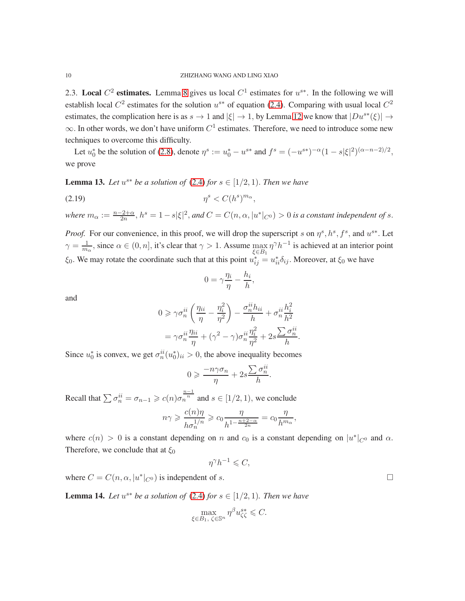2.3. Local  $C^2$  estimates. Lemma [8](#page-5-4) gives us local  $C^1$  estimates for  $u^{s*}$ . In the following we will establish local  $C^2$  estimates for the solution  $u^{s*}$  of equation [\(2.4\)](#page-3-1). Comparing with usual local  $C^2$ estimates, the complication here is as  $s \to 1$  and  $|\xi| \to 1$ , by Lemma [12](#page-8-0) we know that  $|Du^{s*}(\xi)| \to$  $\infty$ . In other words, we don't have uniform  $C^1$  estimates. Therefore, we need to introduce some new techniques to overcome this difficulty.

Let  $u_0^*$  be the solution of [\(2.8\)](#page-4-0), denote  $\eta^s := u_0^* - u^{s*}$  and  $f^s = (-u^{s*})^{-\alpha} (1 - s|\xi|^2)^{(\alpha - n - 2)/2}$ , we prove

<span id="page-9-0"></span>**Lemma 13.** Let  $u^{s*}$  be a solution of  $(2.4)$  for  $s \in [1/2, 1)$ . Then we have

$$
(2.19) \t\t \eta^s < C(h^s)^{m_\alpha},
$$

where  $m_\alpha := \frac{n-2+\alpha}{2n}$ ,  $h^s = 1 - s|\xi|^2$ , and  $C = C(n, \alpha, |u^*|_{C^0}) > 0$  is a constant independent of s.

*Proof.* For our convenience, in this proof, we will drop the superscript s on  $\eta^s$ ,  $h^s$ ,  $f^s$ , and  $u^{s*}$ . Let  $\gamma = \frac{1}{m_{\alpha}}$ , since  $\alpha \in (0, n]$ , it's clear that  $\gamma > 1$ . Assume  $\max_{\xi \in B_1}$  $\eta^{\gamma} h^{-1}$  is achieved at an interior point  $\xi_0$ . We may rotate the coordinate such that at this point  $u_{ij}^* = u_{ii}^* \delta_{ij}$ . Moreover, at  $\xi_0$  we have

$$
0 = \gamma \frac{\eta_i}{\eta} - \frac{h_i}{h},
$$

and

$$
0 \ge \gamma \sigma_n^{ii} \left( \frac{\eta_{ii}}{\eta} - \frac{\eta_i^2}{\eta^2} \right) - \frac{\sigma_n^{ii} h_{ii}}{h} + \sigma_n^{ii} \frac{h_i^2}{h^2}
$$

$$
= \gamma \sigma_n^{ii} \frac{\eta_{ii}}{\eta} + (\gamma^2 - \gamma) \sigma_n^{ii} \frac{\eta_i^2}{\eta^2} + 2s \frac{\sum \sigma_n^{ii}}{h}.
$$

Since  $u_0^*$  is convex, we get  $\sigma_n^{ii}(u_0^*)_{ii} > 0$ , the above inequality becomes

$$
0 \geqslant \frac{-n\gamma\sigma_n}{\eta} + 2s \frac{\sum \sigma_n^{ii}}{h}.
$$

Recall that  $\sum \sigma_n^{ii} = \sigma_{n-1} \geqslant c(n)\sigma_n^{\frac{n-1}{n}}$  and  $s \in [1/2, 1)$ , we conclude

$$
n\gamma \geqslant \frac{c(n)\eta}{h\sigma_n^{1/n}} \geqslant c_0 \frac{\eta}{h^{1-\frac{n+2-\alpha}{2n}}} = c_0 \frac{\eta}{h^{m_\alpha}},
$$

where  $c(n) > 0$  is a constant depending on n and  $c_0$  is a constant depending on  $|u^*|_{C^0}$  and  $\alpha$ . Therefore, we conclude that at  $\xi_0$ 

$$
\eta^{\gamma}h^{-1} \leqslant C,
$$

where  $C = C(n, \alpha, |u^*|_{C^0})$  is independent of s.

<span id="page-9-1"></span>**Lemma 14.** Let  $u^{s*}$  be a solution of  $(2.4)$  for  $s \in [1/2, 1)$ . Then we have

$$
\max_{\xi \in B_1, \ \zeta \in \mathbb{S}^n} \eta^{\beta} u_{\zeta \zeta}^{s*} \leqslant C.
$$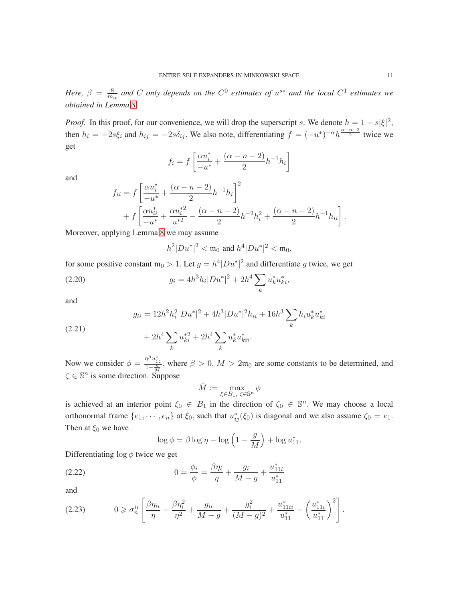*Here,*  $\beta = \frac{8}{m}$  $\frac{8}{m_{\alpha}}$  and C only depends on the  $C^0$  estimates of  $u^{s*}$  and the local  $C^1$  estimates we *obtained in Lemma [8.](#page-5-4)*

*Proof.* In this proof, for our convenience, we will drop the superscript s. We denote  $h = 1 - s|\xi|^2$ , then  $h_i = -2s\xi_i$  and  $h_{ij} = -2s\delta_{ij}$ . We also note, differentiating  $f = (-u^*)^{-\alpha}h^{\frac{\alpha-n-2}{2}}$  twice we get

$$
f_i = f\left[\frac{\alpha u_i^*}{-u^*} + \frac{(\alpha - n - 2)}{2}h^{-1}h_i\right]
$$

and

$$
f_{ii} = f \left[ \frac{\alpha u_i^*}{-u^*} + \frac{(\alpha - n - 2)}{2} h^{-1} h_i \right]^2
$$
  
+ 
$$
f \left[ \frac{\alpha u_{ii}^*}{-u^*} + \frac{\alpha u_i^{*2}}{u^{*2}} - \frac{(\alpha - n - 2)}{2} h^{-2} h_i^2 + \frac{(\alpha - n - 2)}{2} h^{-1} h_{ii} \right].
$$

Moreover, applying Lemma [8](#page-5-4) we may assume

$$
h^2|Du^*|^2 < \mathfrak{m}_0 \text{ and } h^4|Du^*|^2 < \mathfrak{m}_0,
$$

for some positive constant  $m_0 > 1$ . Let  $g = h^4 |Du^*|^2$  and differentiate g twice, we get

(2.20) 
$$
g_i = 4h^3h_i|Du^*|^2 + 2h^4\sum_k u_k^*u_{ki}^*,
$$

and

$$
g_{ii} = 12h^2h_i^2|Du^*|^2 + 4h^3|Du^*|^2h_{ii} + 16h^3\sum_k h_iu_k^*u_{ki}^*
$$

(2.21) 
$$
+ 2h^4 \sum_k u_{ki}^{*2} + 2h^4 \sum_k u_k^* u_{kii}^*.
$$

Now we consider  $\phi = \frac{\eta^{\beta} u_{\zeta\zeta}^*}{1-\frac{g}{M}}$ , where  $\beta > 0$ ,  $M > 2m_0$  are some constants to be determined, and  $\zeta \in \mathbb{S}^n$  is some direction. Suppose

$$
\hat{M} := \max_{\xi \in B_1, \ \zeta \in \mathbb{S}^n} \phi
$$

is achieved at an interior point  $\xi_0 \in B_1$  in the direction of  $\zeta_0 \in S^n$ . We may choose a local orthonormal frame  $\{e_1, \dots, e_n\}$  at  $\xi_0$ , such that  $u_{ij}^*(\xi_0)$  is diagonal and we also assume  $\zeta_0 = e_1$ . Then at  $\xi_0$  we have

<span id="page-10-0"></span>
$$
\log \phi = \beta \log \eta - \log \left( 1 - \frac{g}{M} \right) + \log u_{11}^*.
$$

Differentiating  $\log \phi$  twice we get

(2.22) 
$$
0 = \frac{\phi_i}{\phi} = \frac{\beta \eta_i}{\eta} + \frac{g_i}{M - g} + \frac{u_{11i}^*}{u_{11}^*}
$$

and

<span id="page-10-1"></span>
$$
(2.23) \t 0 \geq \sigma_n^{ii} \left[ \frac{\beta \eta_{ii}}{\eta} - \frac{\beta \eta_i^2}{\eta^2} + \frac{g_{ii}}{M - g} + \frac{g_i^2}{(M - g)^2} + \frac{u_{11ii}^*}{u_{11}^*} - \left(\frac{u_{11i}^*}{u_{11}^*}\right)^2 \right].
$$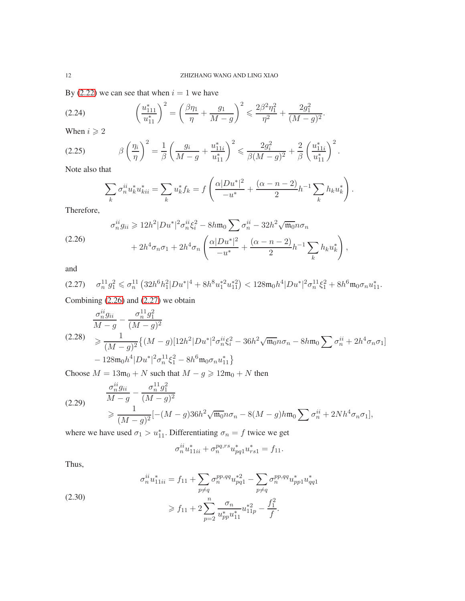.

By [\(2.22\)](#page-10-0) we can see that when  $i = 1$  we have

<span id="page-11-2"></span>
$$
(2.24) \qquad \left(\frac{u_{111}^*}{u_{11}^*}\right)^2 = \left(\frac{\beta \eta_1}{\eta} + \frac{g_1}{M - g}\right)^2 \leqslant \frac{2\beta^2 \eta_1^2}{\eta^2} + \frac{2g_1^2}{(M - g)^2}
$$

When  $i \geqslant 2$ 

$$
(2.25) \t\t\t\t\t\beta \left(\frac{\eta_i}{\eta}\right)^2 = \frac{1}{\beta} \left(\frac{g_i}{M-g} + \frac{u_{11i}^*}{u_{11}^*}\right)^2 \leq \frac{2g_i^2}{\beta(M-g)^2} + \frac{2}{\beta} \left(\frac{u_{11i}^*}{u_{11}^*}\right)^2.
$$

Note also that

<span id="page-11-3"></span>
$$
\sum_{k} \sigma_n^{ii} u_k^* u_{kii}^* = \sum_{k} u_k^* f_k = f\left(\frac{\alpha |Du^*|^2}{-u^*} + \frac{(\alpha - n - 2)}{2} h^{-1} \sum_{k} h_k u_k^*\right).
$$

Therefore,

<span id="page-11-0"></span>
$$
\sigma_n^{ii} g_{ii} \geq 12h^2 |Du^*|^2 \sigma_n^{ii} \xi_i^2 - 8h \mathfrak{m}_0 \sum \sigma_n^{ii} - 32h^2 \sqrt{\mathfrak{m}_0} n \sigma_n + 2h^4 \sigma_n \sigma_1 + 2h^4 \sigma_n \left( \frac{\alpha |Du^*|^2}{-u^*} + \frac{(\alpha - n - 2)}{2} h^{-1} \sum_k h_k u_k^* \right),
$$

and

<span id="page-11-1"></span>
$$
(2.27) \quad \sigma_n^{11} g_1^2 \leq \sigma_n^{11} \left( 32h^6 h_1^2 |Du^*|^4 + 8h^8 u_1^{*2} u_{11}^{*2} \right) < 128 \mathfrak{m}_0 h^4 |Du^*|^2 \sigma_n^{11} \xi_1^2 + 8h^6 \mathfrak{m}_0 \sigma_n u_{11}^*.
$$

Combining [\(2.26\)](#page-11-0) and [\(2.27\)](#page-11-1) we obtain

$$
\frac{\sigma_n^{ii} g_{ii}}{M - g} - \frac{\sigma_n^{11} g_1^2}{(M - g)^2}
$$
\n
$$
\geq \frac{1}{(M - g)^2} \{ (M - g) [12h^2 | Du^* |^2 \sigma_n^{ii} \xi_i^2 - 36h^2 \sqrt{\mathfrak{m}_0} n \sigma_n - 8h \mathfrak{m}_0 \sum \sigma_n^{ii} + 2h^4 \sigma_n \sigma_1 ]
$$
\n
$$
- 128 \mathfrak{m}_0 h^4 |Du^* |^2 \sigma_n^{11} \xi_1^2 - 8h^6 \mathfrak{m}_0 \sigma_n u_{11}^*\}
$$

Choose  $M = 13m_0 + N$  such that  $M - g \ge 12m_0 + N$  then

<span id="page-11-4"></span>
$$
(2.29) \qquad \frac{\sigma_n^{ii} g_{ii}}{M - g} - \frac{\sigma_n^{11} g_1^2}{(M - g)^2} \geq \frac{1}{(M - g)^2} [-(M - g)36h^2 \sqrt{\mathfrak{m}_0} n \sigma_n - 8(M - g) h \mathfrak{m}_0 \sum \sigma_n^{ii} + 2Nh^4 \sigma_n \sigma_1],
$$

where we have used  $\sigma_1 > u_{11}^*$ . Differentiating  $\sigma_n = f$  twice we get

$$
\sigma_n^{ii} u_{11ii}^* + \sigma_n^{pq,rs} u_{pq1}^* u_{rs1}^* = f_{11}.
$$

Thus,

$$
\sigma_n^{ii} u_{11ii}^* = f_{11} + \sum_{p \neq q} \sigma_n^{pp,qq} u_{pq1}^{*2} - \sum_{p \neq q} \sigma_n^{pp,qq} u_{pp1}^* u_{qq1}^*
$$
\n
$$
\geq f_{11} + 2 \sum_{p=2}^n \frac{\sigma_n}{u_{pp}^* u_{11}^*} u_{11p}^{*2} - \frac{f_1^2}{f}.
$$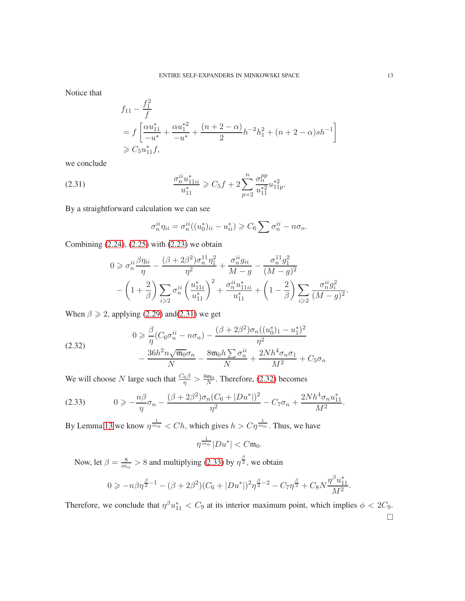Notice that

$$
f_{11} - \frac{f_1^2}{f}
$$
  
=  $f \left[ \frac{\alpha u_{11}^*}{-u^*} + \frac{\alpha u_1^{*2}}{-u^*} + \frac{(n+2-\alpha)}{2} h^{-2} h_1^2 + (n+2-\alpha) s h^{-1} \right]$   
\ge  $C_5 u_{11}^* f$ ,

we conclude

(2.31) 
$$
\frac{\sigma_n^{ii} u_{11ii}^*}{u_{11}^*} \geqslant C_5 f + 2 \sum_{p=2}^n \frac{\sigma_n^{pp}}{u_{11}^{*2}} u_{11p}^{*2}.
$$

By a straightforward calculation we can see

<span id="page-12-0"></span>
$$
\sigma_n^{ii} \eta_{ii} = \sigma_n^{ii} ((u_0^*)_{ii} - u_{ii}^*) \geq C_6 \sum \sigma_n^{ii} - n \sigma_n.
$$

Combining [\(2.24\)](#page-11-2), [\(2.25\)](#page-11-3) with [\(2.23\)](#page-10-1) we obtain

$$
0 \geq \sigma_n^{ii} \frac{\beta \eta_{ii}}{\eta} - \frac{(\beta + 2\beta^2)\sigma_n^{11}\eta_1^2}{\eta^2} + \frac{\sigma_n^{ii} g_{ii}}{M - g} - \frac{\sigma_n^{11} g_1^2}{(M - g)^2} - \left(1 + \frac{2}{\beta}\right) \sum_{i \geq 2} \sigma_n^{ii} \left(\frac{u_{11i}^*}{u_{11}^*}\right)^2 + \frac{\sigma_n^{ii} u_{11ii}^*}{u_{11}^*} + \left(1 - \frac{2}{\beta}\right) \sum_{i \geq 2} \frac{\sigma_n^{ii} g_i^2}{(M - g)^2}.
$$

When  $\beta \geq 2$ , applying [\(2.29\)](#page-11-4) and[\(2.31\)](#page-12-0) we get

<span id="page-12-1"></span>(2.32) 
$$
0 \geq \frac{\beta}{\eta} (C_6 \sigma_n^{ii} - n \sigma_n) - \frac{(\beta + 2\beta^2) \sigma_n ((u_0^*)_1 - u_1^*)^2}{\eta^2} - \frac{36h^2 n \sqrt{\mathfrak{m}_0} \sigma_n}{N} - \frac{8\mathfrak{m}_0 h \sum \sigma_n^{ii}}{N} + \frac{2Nh^4 \sigma_n \sigma_1}{M^2} + C_5 \sigma_n
$$

We will choose N large such that  $\frac{C_6 \beta}{\eta} > \frac{8 \mathfrak{m}_0}{N}$  $\frac{m_0}{N}$ . Therefore, [\(2.32\)](#page-12-1) becomes

<span id="page-12-2"></span>
$$
(2.33) \t 0 \geqslant -\frac{n\beta}{\eta}\sigma_n - \frac{(\beta + 2\beta^2)\sigma_n(C_6 + |Du^*|)^2}{\eta^2} - C_7\sigma_n + \frac{2Nh^4\sigma_nu_{11}^*}{M^2}.
$$

By Lemma [13](#page-9-0) we know  $\eta^{\frac{1}{m_{\alpha}}} < Ch$ , which gives  $h > C\eta^{\frac{1}{m_{\alpha}}}$ . Thus, we have

$$
\eta^{\frac{1}{m_{\alpha}}}|Du^*| < C \mathfrak{m}_0.
$$

Now, let  $\beta = \frac{8}{m}$  $\frac{8}{m_{\alpha}} > 8$  and multiplying [\(2.33\)](#page-12-2) by  $\eta^{\frac{\beta}{2}}$ , we obtain

$$
0 \ge -n\beta\eta^{\frac{\beta}{2}-1} - (\beta + 2\beta^2)(C_6 + |Du^*|)^2\eta^{\frac{\beta}{2}-2} - C_7\eta^{\frac{\beta}{2}} + C_8N\frac{\eta^{\beta}u_{11}^*}{M^2}.
$$

Therefore, we conclude that  $\eta^{\beta}u_{11}^* < C_9$  at its interior maximum point, which implies  $\phi < 2C_9$ .  $\Box$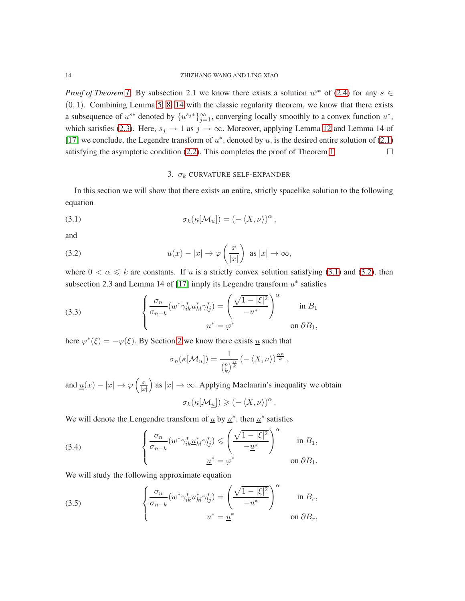*Proof of Theorem [1.](#page-2-0)* By subsection 2.1 we know there exists a solution  $u^{s*}$  of [\(2.4\)](#page-3-1) for any  $s \in$  $(0, 1)$ . Combining Lemma [5,](#page-3-3) [8,](#page-5-4) [14](#page-9-1) with the classic regularity theorem, we know that there exists a subsequence of  $u^{s*}$  denoted by  $\{u^{s_j*}\}_{j=1}^{\infty}$ , converging locally smoothly to a convex function  $u^*$ , which satisfies [\(2.3\)](#page-3-0). Here,  $s_j \to 1$  as  $j \to \infty$ . Moreover, applying Lemma [12](#page-8-0) and Lemma 14 of [\[17\]](#page-23-10) we conclude, the Legendre transform of  $u^*$ , denoted by  $u$ , is the desired entire solution of [\(2.1\)](#page-2-3) satisfying the asymptotic condition [\(2.2\)](#page-2-4). This completes the proof of Theorem [1.](#page-2-0)  $\Box$ 

### <span id="page-13-2"></span><span id="page-13-1"></span>3.  $\sigma_k$  CURVATURE SELF-EXPANDER

<span id="page-13-0"></span>In this section we will show that there exists an entire, strictly spacelike solution to the following equation

(3.1) 
$$
\sigma_k(\kappa[\mathcal{M}_u]) = (-\langle X, \nu \rangle)^\alpha,
$$

and

(3.2) 
$$
u(x) - |x| \to \varphi\left(\frac{x}{|x|}\right) \text{ as } |x| \to \infty,
$$

where  $0 < \alpha \leq k$  are constants. If u is a strictly convex solution satisfying [\(3.1\)](#page-13-1) and [\(3.2\)](#page-13-2), then subsection 2.3 and Lemma 14 of [\[17\]](#page-23-10) imply its Legendre transform  $u^*$  satisfies

(3.3) 
$$
\begin{cases} \frac{\sigma_n}{\sigma_{n-k}} (w^* \gamma_{ik}^* u_{kl}^* \gamma_{lj}^*) = \left( \frac{\sqrt{1 - |\xi|^2}}{-u^*} \right)^\alpha & \text{in } B_1 \\ u^* = \varphi^* & \text{on } \partial B_1, \end{cases}
$$

here  $\varphi^*(\xi) = -\varphi(\xi)$ . By Section [2](#page-2-1) we know there exists <u>u</u> such that

$$
\sigma_n(\kappa[\mathcal{M}_\mathcal{U}]) = \frac{1}{\binom{n}{k}^{\frac{n}{k}}} \left( -\langle X, \nu \rangle \right)^{\frac{\alpha n}{k}},
$$

and  $\underline{u}(x) - |x| \to \varphi \left( \frac{x}{|x|} \right)$  $|x|$ as  $|x| \to \infty$ . Applying Maclaurin's inequality we obtain

$$
\sigma_k(\kappa[\mathcal{M}_{\underline{u}}]) \geqslant (-\langle X,\nu\rangle)^{\alpha}.
$$

We will denote the Lengendre transform of  $\underline{u}$  by  $\underline{u}^*$ , then  $\underline{u}^*$  satisfies

(3.4) 
$$
\begin{cases} \frac{\sigma_n}{\sigma_{n-k}} (w^* \gamma_{ik}^* \underline{u}_{kl}^* \gamma_{lj}^*) \leqslant \left( \frac{\sqrt{1-|\xi|^2}}{-\underline{u}^*} \right)^\alpha & \text{in } B_1, \\ \underline{u}^* = \varphi^* & \text{on } \partial B_1. \end{cases}
$$

We will study the following approximate equation

<span id="page-13-3"></span>(3.5) 
$$
\begin{cases} \frac{\sigma_n}{\sigma_{n-k}} (w^* \gamma_{ik}^* u_{kl}^* \gamma_{lj}^*) = \left( \frac{\sqrt{1 - |\xi|^2}}{-u^*} \right)^\alpha & \text{in } B_r, \\ u^* = \underline{u}^* & \text{on } \partial B_r, \end{cases}
$$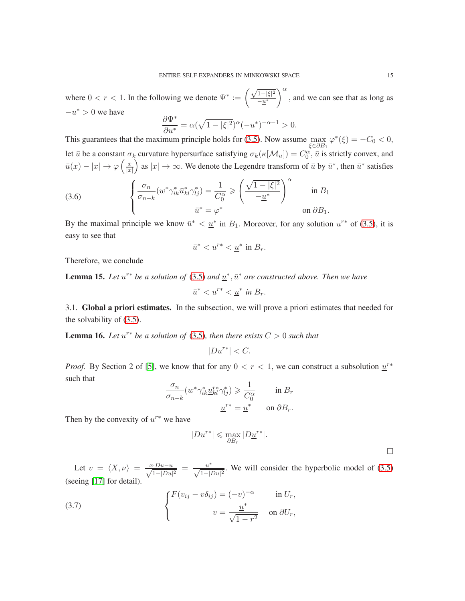where  $0 < r < 1$ . In the following we denote  $\Psi^* := \left( \frac{\sqrt{1-|\xi|^2}}{-n^*} \right)$  $-\underline{u}^*$  $\int_{0}^{\alpha}$ , and we can see that as long as  $-u^* > 0$  we have

$$
\frac{\partial \Psi^*}{\partial u^*} = \alpha (\sqrt{1 - |\xi|^2})^{\alpha} (-u^*)^{-\alpha - 1} > 0.
$$

This guarantees that the maximum principle holds for  $(3.5)$ . Now assume  $\max$ ξ∈∂B<sup>1</sup>  $\varphi^*(\xi) = -C_0 < 0,$ let  $\bar{u}$  be a constant  $\sigma_k$  curvature hypersurface satisfying  $\sigma_k(\kappa[\mathcal{M}_{\bar{u}}]) = C_0^{\alpha}$ ,  $\bar{u}$  is strictly convex, and  $\bar{u}(x) - |x| \to \varphi \left(\frac{x}{|x|} \right)$  $|x|$ as  $|x| \to \infty$ . We denote the Legendre transform of  $\bar{u}$  by  $\bar{u}^*$ , then  $\bar{u}^*$  satisfies

(3.6) 
$$
\begin{cases} \frac{\sigma_n}{\sigma_{n-k}} (w^* \gamma_{ik}^* \bar{u}_{kl}^* \gamma_{lj}^*) = \frac{1}{C_0^{\alpha}} \ge \left( \frac{\sqrt{1 - |\xi|^2}}{-\underline{u}^*} \right)^{\alpha} & \text{in } B_1 \\ \bar{u}^* = \varphi^* & \text{on } \partial B_1. \end{cases}
$$

By the maximal principle we know  $\bar{u}^* < \underline{u}^*$  in  $B_1$ . Moreover, for any solution  $u^{r*}$  of [\(3.5\)](#page-13-3), it is easy to see that

$$
\bar{u}^* < u^{r*} < \underline{u}^* \text{ in } B_r.
$$

Therefore, we conclude

**Lemma 15.** Let  $u^{r*}$  be a solution of [\(3.5\)](#page-13-3) and  $\underline{u}^*, \overline{u}^*$  are constructed above. Then we have

$$
\bar{u}^* < u^{r*} < \underline{u}^* \text{ in } B_r.
$$

3.1. Global a priori estimates. In the subsection, we will prove a priori estimates that needed for the solvability of [\(3.5\)](#page-13-3).

**Lemma 16.** Let  $u^{r*}$  be a solution of [\(3.5\)](#page-13-3), then there exists  $C > 0$  such that

$$
|Du^{r*}| < C.
$$

*Proof.* By Section 2 of [\[5\]](#page-23-12), we know that for any  $0 < r < 1$ , we can construct a subsolution  $u^{r*}$ such that

$$
\frac{\sigma_n}{\sigma_{n-k}} (w^* \gamma_{ik}^* \underline{u}_{kl}^{r*} \gamma_{lj}^*) \geq \frac{1}{C_0^{\alpha}} \quad \text{in } B_r
$$

$$
\underline{u}^{r*} = \underline{u}^* \quad \text{on } \partial B_r.
$$

Then by the convexity of  $u^{r*}$  we have

$$
|Du^{r*}|\leqslant \max_{\partial B_r}|D\underline{u}^{r*}|.
$$

 $\Box$ 

Let  $v = \langle X, \nu \rangle = \frac{x \cdot Du - u}{\sqrt{1 - |Du|^2}} = \frac{u^*}{\sqrt{1 - |Du|^2}}$ . We will consider the hyperbolic model of [\(3.5\)](#page-13-3) (seeing [\[17\]](#page-23-10) for detail).

(3.7) 
$$
\begin{cases} F(v_{ij} - v\delta_{ij}) = (-v)^{-\alpha} & \text{in } U_r, \\ v = \frac{\underline{u}^*}{\sqrt{1 - r^2}} & \text{on } \partial U_r, \end{cases}
$$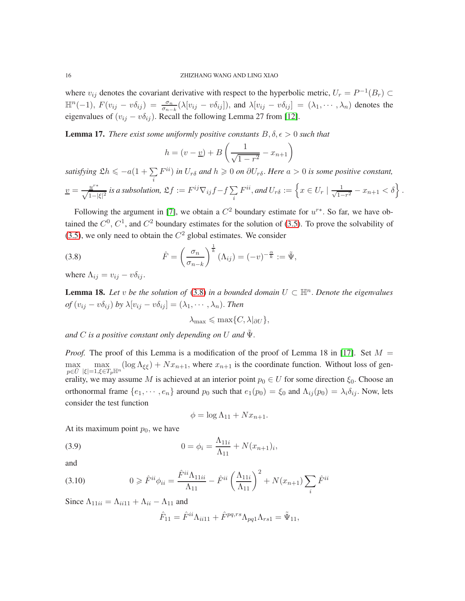where  $v_{ij}$  denotes the covariant derivative with respect to the hyperbolic metric,  $U_r = P^{-1}(B_r) \subset$  $\mathbb{H}^{n}(-1)$ ,  $F(v_{ij} - v\delta_{ij}) = \frac{\sigma_n}{\sigma_{n-k}} (\lambda [v_{ij} - v\delta_{ij}])$ , and  $\lambda [v_{ij} - v\delta_{ij}] = (\lambda_1, \dots, \lambda_n)$  denotes the eigenvalues of  $(v_{ij} - v\delta_{ij})$ . Recall the following Lemma 27 from [\[12\]](#page-23-13).

**Lemma 17.** *There exist some uniformly positive constants*  $B, \delta, \epsilon > 0$  *such that* 

$$
h = (v - \underline{v}) + B\left(\frac{1}{\sqrt{1 - r^2}} - x_{n+1}\right)
$$

*satisfying*  $\mathfrak{L}h \leq -a(1+\sum F^{ii})$  *in*  $U_{r\delta}$  *and*  $h \geq 0$  *on*  $\partial U_{r\delta}$ *. Here*  $a > 0$  *is some positive constant,* i  $\underline{v} = \frac{\underline{u}^{r*}}{\sqrt{1-|\xi|^2}}$  is a subsolution,  $\mathfrak{L}f := F^{ij}\nabla_{ij}f - f\sum_i$ i  $F^{ii},$  and  $U_{r\delta}:=\Big\{x\in U_r\mid \frac{1}{\sqrt{1-\delta}}\Big\}$  $\frac{1}{1-r^2} - x_{n+1} < \delta$ .

Following the argument in [\[7\]](#page-23-14), we obtain a  $C^2$  boundary estimate for  $u^{r*}$ . So far, we have obtained the  $C^0$ ,  $C^1$ , and  $C^2$  boundary estimates for the solution of [\(3.5\)](#page-13-3). To prove the solvability of [\(3.5\)](#page-13-3), we only need to obtain the  $C^2$  global estimates. We consider

(3.8) 
$$
\hat{F} = \left(\frac{\sigma_n}{\sigma_{n-k}}\right)^{\frac{1}{k}} (\Lambda_{ij}) = (-v)^{-\frac{\alpha}{k}} := \tilde{\Psi},
$$

where  $\Lambda_{ij} = v_{ij} - v \delta_{ij}$ .

<span id="page-15-2"></span>**Lemma 18.** Let v be the solution of [\(3.8\)](#page-15-0) in a bounded domain  $U \subset \mathbb{H}^n$ . Denote the eigenvalues *of*  $(v_{ij} - v\delta_{ij})$  *by*  $\lambda[v_{ij} - v\delta_{ij}] = (\lambda_1, \dots, \lambda_n)$ *. Then* 

<span id="page-15-0"></span>
$$
\lambda_{\max} \leqslant \max\{C, \lambda|_{\partial U}\},\
$$

*and* C *is a positive constant only depending on* U *and* Ψ˜ .

*Proof.* The proof of this Lemma is a modification of the proof of Lemma 18 in [\[17\]](#page-23-10). Set  $M =$ max  $p \in \bar{U}$ max  $|\xi|\!=\!\!1,\!\!\xi\!\!\in\!\!T_{p}\mathbb{H}^{n}$  $(\log \Lambda_{\xi\xi}) + Nx_{n+1}$ , where  $x_{n+1}$  is the coordinate function. Without loss of generality, we may assume M is achieved at an interior point  $p_0 \in U$  for some direction  $\xi_0$ . Choose an orthonormal frame  $\{e_1, \dots, e_n\}$  around  $p_0$  such that  $e_1(p_0) = \xi_0$  and  $\Lambda_{ij}(p_0) = \lambda_i \delta_{ij}$ . Now, lets consider the test function

$$
\phi = \log \Lambda_{11} + Nx_{n+1}.
$$

At its maximum point  $p_0$ , we have

(3.9) 
$$
0 = \phi_i = \frac{\Lambda_{11i}}{\Lambda_{11}} + N(x_{n+1})_i,
$$

and

(3.10) 
$$
0 \geq \hat{F}^{ii} \phi_{ii} = \frac{\hat{F}^{ii} \Lambda_{11ii}}{\Lambda_{11}} - \hat{F}^{ii} \left(\frac{\Lambda_{11i}}{\Lambda_{11}}\right)^2 + N(x_{n+1}) \sum_{i} \hat{F}^{ii}
$$

Since  $\Lambda_{11ii} = \Lambda_{ii11} + \Lambda_{ii} - \Lambda_{11}$  and

<span id="page-15-1"></span>
$$
\hat{F}_{11} = \hat{F}^{ii} \Lambda_{ii11} + \hat{F}^{pq,rs} \Lambda_{pq1} \Lambda_{rs1} = \tilde{\Psi}_{11},
$$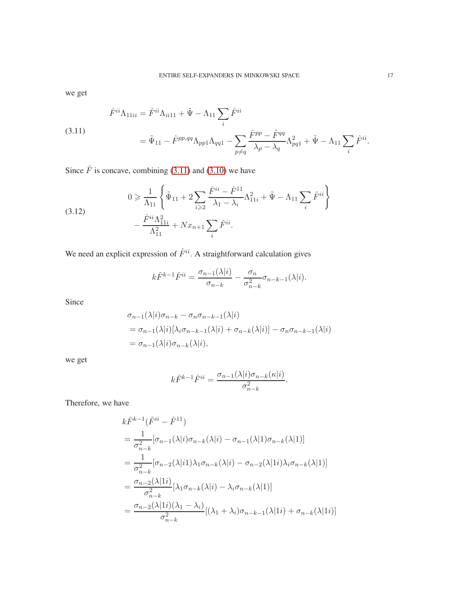we get

<span id="page-16-0"></span>(3.11)  

$$
\hat{F}^{ii}\Lambda_{11ii} = \hat{F}^{ii}\Lambda_{ii11} + \tilde{\Psi} - \Lambda_{11} \sum_{i} \hat{F}^{ii}
$$

$$
= \tilde{\Psi}_{11} - \hat{F}^{pp,qq}\Lambda_{pp1}\Lambda_{qq1} - \sum_{p \neq q} \frac{\hat{F}^{pp} - \hat{F}^{qq}}{\lambda_p - \lambda_q} \Lambda_{pq1}^2 + \tilde{\Psi} - \Lambda_{11} \sum_{i} \hat{F}^{ii}.
$$

Since  $\hat{F}$  is concave, combining [\(3.11\)](#page-16-0) and [\(3.10\)](#page-15-1) we have

(3.12) 
$$
0 \geq \frac{1}{\Lambda_{11}} \left\{ \tilde{\Psi}_{11} + 2 \sum_{i \geq 2} \frac{\hat{F}^{ii} - \hat{F}^{11}}{\lambda_1 - \lambda_i} \Lambda_{11i}^2 + \tilde{\Psi} - \Lambda_{11} \sum_i \hat{F}^{ii} \right\} - \frac{\hat{F}^{ii} \Lambda_{11i}^2}{\Lambda_{11}^2} + Nx_{n+1} \sum_i \hat{F}^{ii}.
$$

We need an explicit expression of  $\hat{F}^{ii}$ . A straightforward calculation gives

<span id="page-16-1"></span>
$$
k\hat{F}^{k-1}\hat{F}^{ii} = \frac{\sigma_{n-1}(\lambda|i)}{\sigma_{n-k}} - \frac{\sigma_n}{\sigma_{n-k}^2}\sigma_{n-k-1}(\lambda|i).
$$

Since

$$
\sigma_{n-1}(\lambda|i)\sigma_{n-k} - \sigma_n \sigma_{n-k-1}(\lambda|i)
$$
  
=  $\sigma_{n-1}(\lambda|i)[\lambda_i \sigma_{n-k-1}(\lambda|i) + \sigma_{n-k}(\lambda|i)] - \sigma_n \sigma_{n-k-1}(\lambda|i)$   
=  $\sigma_{n-1}(\lambda|i)\sigma_{n-k}(\lambda|i),$ 

we get

$$
k\hat{F}^{k-1}\hat{F}^{ii} = \frac{\sigma_{n-1}(\lambda|i)\sigma_{n-k}(\kappa|i)}{\sigma_{n-k}^2}.
$$

Therefore, we have

$$
k\hat{F}^{k-1}(\hat{F}^{ii} - \hat{F}^{11})
$$
  
=  $\frac{1}{\sigma_{n-k}^2} [\sigma_{n-1}(\lambda|i)\sigma_{n-k}(\lambda|i) - \sigma_{n-1}(\lambda|1)\sigma_{n-k}(\lambda|1)]$   
=  $\frac{1}{\sigma_{n-k}^2} [\sigma_{n-2}(\lambda|i1)\lambda_1\sigma_{n-k}(\lambda|i) - \sigma_{n-2}(\lambda|1i)\lambda_i\sigma_{n-k}(\lambda|1)]$   
=  $\frac{\sigma_{n-2}(\lambda|1i)}{\sigma_{n-k}^2} [\lambda_1\sigma_{n-k}(\lambda|i) - \lambda_i\sigma_{n-k}(\lambda|1)]$   
=  $\frac{\sigma_{n-2}(\lambda|1i)(\lambda_1 - \lambda_i)}{\sigma_{n-k}^2} [(\lambda_1 + \lambda_i)\sigma_{n-k-1}(\lambda|1i) + \sigma_{n-k}(\lambda|1i)]$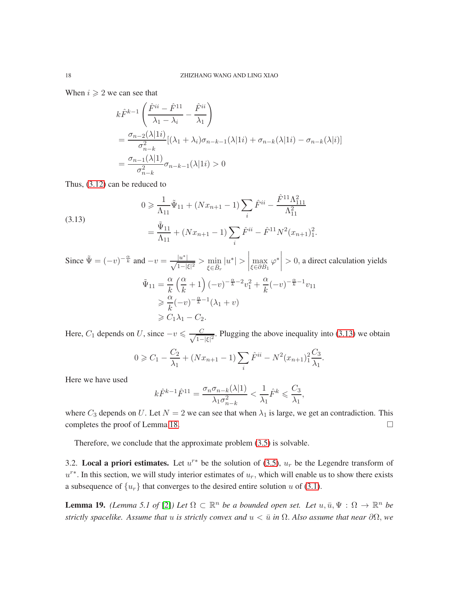When  $i \geqslant 2$  we can see that

$$
k\hat{F}^{k-1}\left(\frac{\hat{F}^{ii}-\hat{F}^{11}}{\lambda_1-\lambda_i}-\frac{\hat{F}^{ii}}{\lambda_1}\right)
$$
  
= 
$$
\frac{\sigma_{n-2}(\lambda|1i)}{\sigma_{n-k}^2}[(\lambda_1+\lambda_i)\sigma_{n-k-1}(\lambda|1i)+\sigma_{n-k}(\lambda|1i)-\sigma_{n-k}(\lambda|i)]
$$
  
= 
$$
\frac{\sigma_{n-1}(\lambda|1)}{\sigma_{n-k}^2}\sigma_{n-k-1}(\lambda|1i)>0
$$

Thus, [\(3.12\)](#page-16-1) can be reduced to

<span id="page-17-0"></span>(3.13)  

$$
0 \geq \frac{1}{\Lambda_{11}} \tilde{\Psi}_{11} + (Nx_{n+1} - 1) \sum_{i} \hat{F}^{ii} - \frac{\hat{F}^{11} \Lambda_{111}^2}{\Lambda_{11}^2}
$$

$$
= \frac{\tilde{\Psi}_{11}}{\Lambda_{11}} + (Nx_{n+1} - 1) \sum_{i} \hat{F}^{ii} - \hat{F}^{11} N^2 (x_{n+1})_1^2.
$$

Since 
$$
\tilde{\Psi} = (-v)^{-\frac{\alpha}{k}}
$$
 and  $-v = \frac{|u^*|}{\sqrt{1-|\xi|^2}} > \min_{\xi \in \bar{\partial}_F} |u^*| > \left| \max_{\xi \in \partial B_1} \varphi^* \right| > 0$ , a direct calculation yields  
\n
$$
\tilde{\Psi}_{11} = \frac{\alpha}{k} \left( \frac{\alpha}{k} + 1 \right) (-v)^{-\frac{\alpha}{k} - 2} v_1^2 + \frac{\alpha}{k} (-v)^{-\frac{\alpha}{k} - 1} v_{11}
$$
\n
$$
\geq \frac{\alpha}{k} (-v)^{-\frac{\alpha}{k} - 1} (\lambda_1 + v)
$$
\n
$$
\geq C_1 \lambda_1 - C_2.
$$

Here,  $C_1$  depends on U, since  $-v \leq \frac{C}{\sqrt{1-\epsilon}}$  $\frac{C}{1-|\xi|^2}$ . Plugging the above inequality into [\(3.13\)](#page-17-0) we obtain

$$
0 \geq C_1 - \frac{C_2}{\lambda_1} + (Nx_{n+1} - 1) \sum_i \hat{F}^{ii} - N^2 (x_{n+1})_1^2 \frac{C_3}{\lambda_1}.
$$

Here we have used

$$
k\hat{F}^{k-1}\hat{F}^{11} = \frac{\sigma_n \sigma_{n-k}(\lambda|1)}{\lambda_1 \sigma_{n-k}^2} < \frac{1}{\lambda_1} \hat{F}^k \leqslant \frac{C_3}{\lambda_1},
$$

where  $C_3$  depends on U. Let  $N = 2$  we can see that when  $\lambda_1$  is large, we get an contradiction. This completes the proof of Lemma [18.](#page-15-2)  $\Box$ 

Therefore, we conclude that the approximate problem [\(3.5\)](#page-13-3) is solvable.

3.2. Local a priori estimates. Let  $u^{r*}$  be the solution of [\(3.5\)](#page-13-3),  $u_r$  be the Legendre transform of  $u^{r*}$ . In this section, we will study interior estimates of  $u_r$ , which will enable us to show there exists a subsequence of  $\{u_r\}$  that converges to the desired entire solution u of [\(3.1\)](#page-13-1).

<span id="page-17-1"></span>**Lemma 19.** *(Lemma 5.1 of* [\[2\]](#page-22-2)*)* Let  $\Omega \subset \mathbb{R}^n$  be a bounded open set. Let  $u, \bar{u}, \Psi : \Omega \to \mathbb{R}^n$  be *strictly spacelike. Assume that* u *is strictly convex and*  $u < \bar{u}$  *in*  $\Omega$ . *Also assume that near*  $\partial\Omega$ *, we*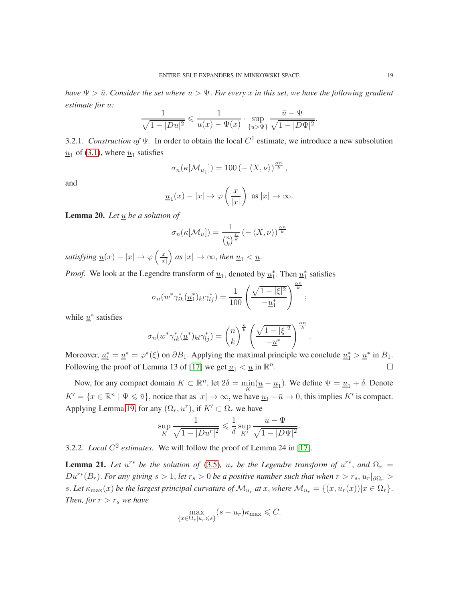*have*  $\Psi > \bar{u}$ . Consider the set where  $u > \Psi$ . For every x in this set, we have the following gradient *estimate for* u*:*

$$
\frac{1}{\sqrt{1-|Du|^2}} \leq \frac{1}{u(x)-\Psi(x)} \cdot \sup_{\{u>\Psi\}} \frac{\bar{u}-\Psi}{\sqrt{1-|D\Psi|^2}}.
$$

3.2.1. *Construction of*  $\Psi$ . In order to obtain the local  $C^1$  estimate, we introduce a new subsolution  $\underline{u}_1$  of [\(3.1\)](#page-13-1), where  $\underline{u}_1$  satisfies

$$
\sigma_n(\kappa[\mathcal{M}_{\underline{u}_1}]) = 100 \left(-\langle X, \nu \rangle\right)^{\frac{\alpha n}{k}},
$$

and

$$
\underline{u}_1(x) - |x| \to \varphi\left(\frac{x}{|x|}\right) \text{ as } |x| \to \infty.
$$

**Lemma 20.** Let  $\underline{u}$  be a solution of

$$
\sigma_n(\kappa[\mathcal{M}_u]) = \frac{1}{\binom{n}{k}^{\frac{n}{k}}} \left( -\langle X, \nu \rangle \right)^{\frac{\alpha n}{k}}
$$

*satisfying*  $\underline{u}(x) - |x| \rightarrow \varphi \left( \frac{x}{|x|} \right)$  $|x|$  $\int$  as  $|x| \to \infty$ , then <u> $u_1 < u$ </u>.

*Proof.* We look at the Legendre transform of  $\underline{u}_1$ , denoted by  $\underline{u}_1^*$ . Then  $\underline{u}_1^*$  satisfies

$$
\sigma_n(w^*\gamma_{ik}^*(\underline{u}_1^*)_{kl}\gamma_{lj}^*) = \frac{1}{100} \left(\frac{\sqrt{1-|\xi|^2}}{-\underline{u}_1^*}\right)^{\frac{\alpha n}{k}};
$$

while  $\underline{u}^*$  satisfies

$$
\sigma_n(w^*\gamma_{ik}^*(\underline{u}^*)_{kl}\gamma_{lj}^*) = {n \choose k}^{\frac{n}{k}} \left(\frac{\sqrt{1-|\xi|^2}}{-\underline{u}^*}\right)^{\frac{\alpha n}{k}}.
$$

Moreover,  $\underline{u}_1^* = \underline{u}^* = \varphi^*(\xi)$  on  $\partial B_1$ . Applying the maximal principle we conclude  $\underline{u}_1^* > \underline{u}^*$  in  $B_1$ . Following the proof of Lemma 13 of [\[17\]](#page-23-10) we get  $\underline{u}_1 < \underline{u}$  in  $\mathbb{R}^n$ . — Процессиональные производствование и производствование и производствование и производствование и производс<br>В 1990 году в 1990 году в 1990 году в 1990 году в 1990 году в 1990 году в 1990 году в 1990 году в 1990 году в<br>

Now, for any compact domain  $K \subset \mathbb{R}^n$ , let  $2\delta = \min_K(\underline{u} - \underline{u}_1)$ . We define  $\Psi = \underline{u}_1 + \delta$ . Denote  $K' = \{x \in \mathbb{R}^n \mid \Psi \leq \bar{u}\}\$ , notice that as  $|x| \to \infty$ , we have  $\underline{u}_1 - \bar{u} \to 0$ , this implies  $K'$  is compact. Applying Lemma [19,](#page-17-1) for any  $(\Omega_r, u^r)$ , if  $K' \subset \Omega_r$  we have

$$
\sup_{K} \frac{1}{\sqrt{1 - |Du^{r}|^{2}}} \leq \frac{1}{\delta} \sup_{K'} \frac{\bar{u} - \Psi}{\sqrt{1 - |D\Psi|^{2}}}.
$$

3.2.2. *Local*  $C^2$  *estimates.* We will follow the proof of Lemma 24 in [\[17\]](#page-23-10).

**Lemma 21.** Let  $u^{r*}$  be the solution of [\(3.5\)](#page-13-3),  $u_r$  be the Legendre transform of  $u^{r*}$ , and  $\Omega_r =$  $Du^{r*}(B_r)$ . *For any giving*  $s > 1$ , *let*  $r_s > 0$  *be a positive number such that when*  $r > r_s$ ,  $u_r|_{\partial\Omega_r} >$ s. Let  $\kappa_{\max}(x)$  be the largest principal curvature of  $\mathcal{M}_{u_r}$  at x, where  $\mathcal{M}_{u_r} = \{(x, u_r(x)) | x \in \Omega_r\}.$ *Then, for*  $r > r_s$  *we have* 

$$
\max_{\{x \in \Omega_r | u_r \le s\}} (s - u_r) \kappa_{\max} \le C.
$$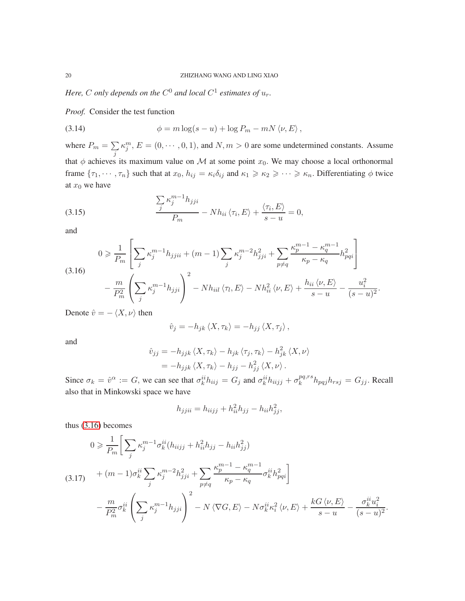Here, C only depends on the  $C^0$  and local  $C^1$  estimates of  $u_r$ .

*Proof.* Consider the test function

(3.14) 
$$
\phi = m \log(s - u) + \log P_m - mN \langle \nu, E \rangle,
$$

where  $P_m = \sum$ j  $\kappa_j^m$ ,  $E = (0, \dots, 0, 1)$ , and  $N, m > 0$  are some undetermined constants. Assume that  $\phi$  achieves its maximum value on M at some point  $x_0$ . We may choose a local orthonormal frame  $\{\tau_1, \dots, \tau_n\}$  such that at  $x_0, h_{ij} = \kappa_i \delta_{ij}$  and  $\kappa_1 \geq \kappa_2 \geq \dots \geq \kappa_n$ . Differentiating  $\phi$  twice at  $x_0$  we have

<span id="page-19-1"></span>(3.15) 
$$
\frac{\sum_{j} \kappa_{j}^{m-1} h_{jji}}{P_m} - N h_{ii} \langle \tau_i, E \rangle + \frac{\langle \tau_i, E \rangle}{s - u} = 0,
$$

and

<span id="page-19-0"></span>
$$
0 \geqslant \frac{1}{P_m} \left[ \sum_j \kappa_j^{m-1} h_{jjii} + (m-1) \sum_j \kappa_j^{m-2} h_{jji}^2 + \sum_{p \neq q} \frac{\kappa_p^{m-1} - \kappa_q^{m-1}}{\kappa_p - \kappa_q} h_{pqi}^2 \right] - \frac{m}{P_m^2} \left( \sum_j \kappa_j^{m-1} h_{jji} \right)^2 - N h_{iil} \left\langle \tau_l, E \right\rangle - N h_{ii}^2 \left\langle \nu, E \right\rangle + \frac{h_{ii} \left\langle \nu, E \right\rangle}{s - u} - \frac{u_i^2}{(s - u)^2}.
$$

Denote  $\ddot{v} = -\langle X, \nu \rangle$  then

$$
\hat{v}_j = -h_{jk} \langle X, \tau_k \rangle = -h_{jj} \langle X, \tau_j \rangle ,
$$

and

$$
\hat{v}_{jj} = -h_{jjk} \langle X, \tau_k \rangle - h_{jk} \langle \tau_j, \tau_k \rangle - h_{jk}^2 \langle X, \nu \rangle
$$
  
=  $-h_{jjk} \langle X, \tau_k \rangle - h_{jj} - h_{jj}^2 \langle X, \nu \rangle$ .

Since  $\sigma_k = \hat{v}^\alpha := G$ , we can see that  $\sigma_k^{ii} h_{iij} = G_j$  and  $\sigma_k^{ii} h_{iijj} + \sigma_k^{pq,rs}$  $k^{pq,rs} h_{pqj} h_{rsj} = G_{jj}$ . Recall also that in Minkowski space we have

$$
h_{jjii} = h_{iijj} + h_{ii}^2 h_{jj} - h_{ii} h_{jj}^2,
$$

thus [\(3.16\)](#page-19-0) becomes

$$
0 \geq \frac{1}{P_m} \bigg[ \sum_j \kappa_j^{m-1} \sigma_k^{ii} (h_{iijj} + h_{ii}^2 h_{jj} - h_{ii} h_{jj}^2) + (m-1) \sigma_k^{ii} \sum_j \kappa_j^{m-2} h_{jji}^2 + \sum_{p \neq q} \frac{\kappa_p^{m-1} - \kappa_q^{m-1}}{\kappa_p - \kappa_q} \sigma_k^{ii} h_{pqi}^2 \bigg] - \frac{m}{P_m^2} \sigma_k^{ii} \left( \sum_j \kappa_j^{m-1} h_{jji} \right)^2 - N \left\langle \nabla G, E \right\rangle - N \sigma_k^{ii} \kappa_i^2 \left\langle \nu, E \right\rangle + \frac{k G \left\langle \nu, E \right\rangle}{s - u} - \frac{\sigma_k^{ii} u_i^2}{(s - u)^2}.
$$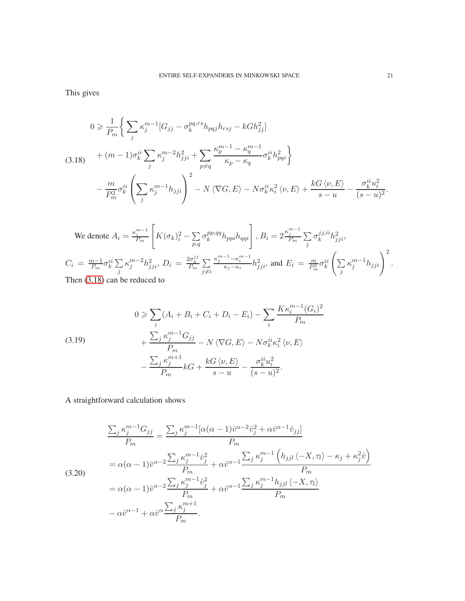This gives

<span id="page-20-0"></span>
$$
0 \geq \frac{1}{P_m} \Bigg\{ \sum_j \kappa_j^{m-1} [G_{jj} - \sigma_k^{pq, rs} h_{pqj} h_{rsj} - k G h_{jj}^2] + (m-1) \sigma_k^{ii} \sum_j \kappa_j^{m-2} h_{jji}^2 + \sum_{p \neq q} \frac{\kappa_p^{m-1} - \kappa_q^{m-1}}{\kappa_p - \kappa_q} \sigma_k^{ii} h_{pqi}^2 \Bigg\} - \frac{m}{P_m^2} \sigma_k^{ii} \left( \sum_j \kappa_j^{m-1} h_{jji} \right)^2 - N \langle \nabla G, E \rangle - N \sigma_k^{ii} \kappa_i^2 \langle \nu, E \rangle + \frac{k G \langle \nu, E \rangle}{s - u} - \frac{\sigma_k^{ii} u_i^2}{(s - u)^2}.
$$

We denote 
$$
A_i = \frac{\kappa_i^{m-1}}{P_m} \left[ K(\sigma_k)_i^2 - \sum_{p,q} \sigma_k^{pp,qq} h_{ppi} h_{qqi} \right], B_i = 2 \frac{\kappa_j^{m-1}}{P_m} \sum_j \sigma_k^{jj,ii} h_{jji}^2,
$$
  
\n
$$
C_i = \frac{m-1}{P_m} \sigma_k^{ii} \sum_j \kappa_j^{m-2} h_{jji}^2, D_i = \frac{2\sigma_k^{jj}}{P_m} \sum_{j \neq i} \frac{\kappa_j^{m-1} - \kappa_i^{m-1}}{\kappa_j - \kappa_i} h_{jji}^2,
$$
 and  $E_i = \frac{m}{P_m^2} \sigma_k^{ii} \left( \sum_j \kappa_j^{m-1} h_{jji} \right)^2.$   
\nThen (3.18) can be reduced to

<span id="page-20-2"></span>(3.19)  
\n
$$
0 \geqslant \sum_{i} (A_i + B_i + C_i + D_i - E_i) - \sum_{i} \frac{K \kappa_i^{m-1} (G_i)^2}{P_m}
$$
\n
$$
+ \frac{\sum_{j} \kappa_j^{m-1} G_{jj}}{P_m} - N \langle \nabla G, E \rangle - N \sigma_k^{ii} \kappa_i^2 \langle \nu, E \rangle
$$
\n
$$
- \frac{\sum_{j} \kappa_j^{m+1}}{P_m} k G + \frac{k G \langle \nu, E \rangle}{s - u} - \frac{\sigma_k^{ii} u_i^2}{(s - u)^2}.
$$

A straightforward calculation shows

<span id="page-20-1"></span>
$$
\frac{\sum_{j} \kappa_{j}^{m-1} G_{jj}}{P_{m}} = \frac{\sum_{j} \kappa_{j}^{m-1} [\alpha(\alpha - 1)\hat{v}^{\alpha - 2}\hat{v}_{j}^{2} + \alpha \hat{v}^{\alpha - 1}\hat{v}_{jj}]}{P_{m}}
$$
  
\n
$$
= \alpha(\alpha - 1)\hat{v}^{\alpha - 2} \frac{\sum_{j} \kappa_{j}^{m-1}\hat{v}_{j}^{2}}{P_{m}} + \alpha \hat{v}^{\alpha - 1} \frac{\sum_{j} \kappa_{j}^{m-1} (h_{jjl} \langle -X, \tau_{l} \rangle - \kappa_{j} + \kappa_{j}^{2}\hat{v})}{P_{m}}
$$
  
\n
$$
= \alpha(\alpha - 1)\hat{v}^{\alpha - 2} \frac{\sum_{j} \kappa_{j}^{m-1}\hat{v}_{j}^{2}}{P_{m}} + \alpha \hat{v}^{\alpha - 1} \frac{\sum_{j} \kappa_{j}^{m-1} h_{jjl} \langle -X, \tau_{l} \rangle}{P_{m}}
$$
  
\n
$$
- \alpha \hat{v}^{\alpha - 1} + \alpha \hat{v}^{\alpha} \frac{\sum_{j} \kappa_{j}^{m+1}}{P_{m}}.
$$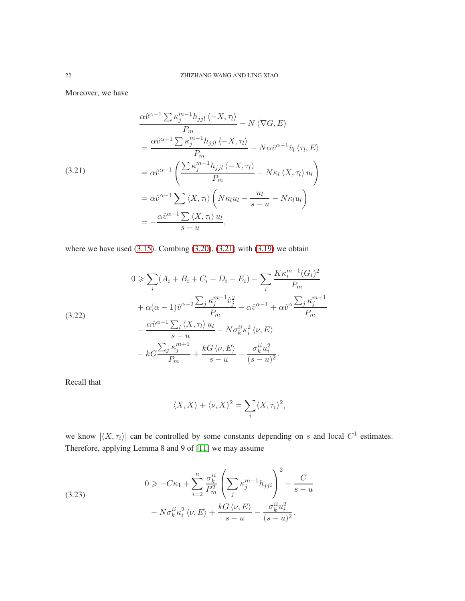Moreover, we have

<span id="page-21-0"></span>(3.21)  
\n
$$
\frac{\alpha \hat{v}^{\alpha-1} \sum \kappa_j^{m-1} h_{jjl} \langle -X, \pi \rangle}{P_m} - N \langle \nabla G, E \rangle
$$
\n
$$
= \frac{\alpha \hat{v}^{\alpha-1} \sum \kappa_j^{m-1} h_{jjl} \langle -X, \pi \rangle}{P_m} - N \alpha \hat{v}^{\alpha-1} \hat{v}_l \langle \pi, E \rangle
$$
\n
$$
= \alpha \hat{v}^{\alpha-1} \left( \frac{\sum \kappa_j^{m-1} h_{jjl} \langle -X, \pi \rangle}{P_m} - N \kappa_l \langle X, \pi \rangle u_l \right)
$$
\n
$$
= \alpha \hat{v}^{\alpha-1} \sum \langle X, \pi \rangle \left( N \kappa_l u_l - \frac{u_l}{s-u} - N \kappa_l u_l \right)
$$
\n
$$
= -\frac{\alpha \hat{v}^{\alpha-1} \sum \langle X, \pi \rangle u_l}{s-u},
$$

where we have used  $(3.15)$ . Combing  $(3.20)$ ,  $(3.21)$  with  $(3.19)$  we obtain

(3.22)  
\n
$$
0 \ge \sum_{i} (A_i + B_i + C_i + D_i - E_i) - \sum_{i} \frac{K \kappa_i^{m-1} (G_i)^2}{P_m}
$$
\n
$$
+ \alpha(\alpha - 1)\hat{v}^{\alpha - 2} \frac{\sum_{j} \kappa_j^{m-1} \hat{v}_j^2}{P_m} - \alpha \hat{v}^{\alpha - 1} + \alpha \hat{v}^{\alpha} \frac{\sum_{j} \kappa_j^{m+1}}{P_m}
$$
\n
$$
- \frac{\alpha \hat{v}^{\alpha - 1} \sum_{l} \langle X, \tau_l \rangle u_l}{s - u} - N \sigma_k^{ii} \kappa_i^2 \langle \nu, E \rangle
$$
\n
$$
- k \zeta \frac{\sum_{j} \kappa_j^{m+1}}{P_m} + \frac{k \zeta \langle \nu, E \rangle}{s - u} - \frac{\sigma_k^{ii} u_i^2}{(s - u)^2}.
$$

Recall that

$$
\langle X, X \rangle + \langle \nu, X \rangle^2 = \sum_i \langle X, \tau_i \rangle^2,
$$

we know  $|\langle X, \tau_i \rangle|$  can be controlled by some constants depending on s and local  $C^1$  estimates. Therefore, applying Lemma 8 and 9 of [\[11\]](#page-23-15) we may assume

<span id="page-21-1"></span>(3.23)  

$$
0 \geq -C\kappa_1 + \sum_{i=2}^n \frac{\sigma_k^{ii}}{P_m^2} \left( \sum_j \kappa_j^{m-1} h_{jji} \right)^2 - \frac{C}{s-u}
$$

$$
- N \sigma_k^{ii} \kappa_i^2 \langle \nu, E \rangle + \frac{k G \langle \nu, E \rangle}{s-u} - \frac{\sigma_k^{ii} u_i^2}{(s-u)^2}.
$$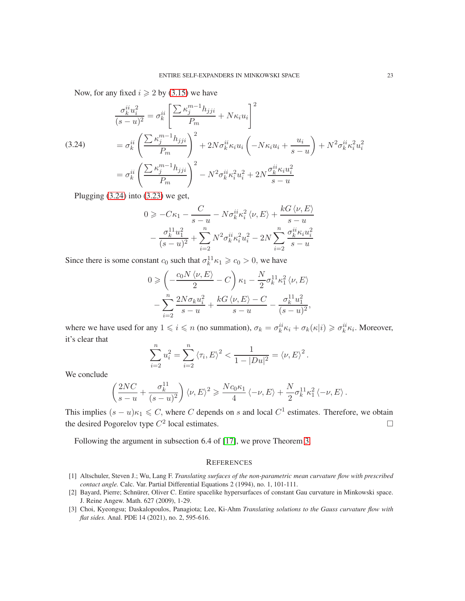Now, for any fixed  $i \geq 2$  by [\(3.15\)](#page-19-1) we have

<span id="page-22-3"></span>(3.24)  
\n
$$
\frac{\sigma_k^{ii} u_i^2}{(s-u)^2} = \sigma_k^{ii} \left[ \frac{\sum \kappa_j^{m-1} h_{jji}}{P_m} + N \kappa_i u_i \right]^2
$$
\n
$$
= \sigma_k^{ii} \left( \frac{\sum \kappa_j^{m-1} h_{jji}}{P_m} \right)^2 + 2N \sigma_k^{ii} \kappa_i u_i \left( -N \kappa_i u_i + \frac{u_i}{s-u} \right) + N^2 \sigma_k^{ii} \kappa_i^2 u_i^2
$$
\n
$$
= \sigma_k^{ii} \left( \frac{\sum \kappa_j^{m-1} h_{jji}}{P_m} \right)^2 - N^2 \sigma_k^{ii} \kappa_i^2 u_i^2 + 2N \frac{\sigma_k^{ii} \kappa_i u_i^2}{s-u}
$$

Plugging  $(3.24)$  into  $(3.23)$  we get,

$$
0 \geqslant -C\kappa_1 - \frac{C}{s-u} - N\sigma_k^{ii}\kappa_i^2 \langle \nu, E \rangle + \frac{kG \langle \nu, E \rangle}{s-u}
$$

$$
- \frac{\sigma_k^{11}u_1^2}{(s-u)^2} + \sum_{i=2}^n N^2 \sigma_k^{ii}\kappa_i^2 u_i^2 - 2N \sum_{i=2}^n \frac{\sigma_k^{ii}\kappa_i u_i^2}{s-u}
$$

Since there is some constant  $c_0$  such that  $\sigma_k^{11} \kappa_1 \geq c_0 > 0$ , we have

$$
0 \geqslant \left(-\frac{c_0 N \langle \nu, E \rangle}{2} - C\right) \kappa_1 - \frac{N}{2} \sigma_k^{11} \kappa_1^2 \langle \nu, E \rangle
$$

$$
-\sum_{i=2}^n \frac{2N \sigma_k u_i^2}{s - u} + \frac{k G \langle \nu, E \rangle - C}{s - u} - \frac{\sigma_k^{11} u_1^2}{(s - u)^2},
$$

where we have used for any  $1 \leq i \leq n$  (no summation),  $\sigma_k = \sigma_k^{ii} \kappa_i + \sigma_k(\kappa|i) \geq \sigma_k^{ii} \kappa_i$ . Moreover, it's clear that

$$
\sum_{i=2}^{n} u_i^2 = \sum_{i=2}^{n} \langle \tau_i, E \rangle^2 < \frac{1}{1 - |Du|^2} = \langle \nu, E \rangle^2.
$$

We conclude

$$
\left(\frac{2NC}{s-u}+\frac{\sigma_k^{11}}{(s-u)^2}\right)\left\langle \nu,E\right\rangle^2\geqslant\frac{Nc_0\kappa_1}{4}\left\langle -\nu,E\right\rangle+\frac{N}{2}\sigma_k^{11}\kappa_1^2\left\langle -\nu,E\right\rangle.
$$

This implies  $(s - u)\kappa_1 \leq C$ , where C depends on s and local  $C^1$  estimates. Therefore, we obtain the desired Pogorelov type  $C^2$  local estimates.

Following the argument in subsection 6.4 of [\[17\]](#page-23-10), we prove Theorem [3.](#page-2-2)

### **REFERENCES**

- <span id="page-22-0"></span>[1] Altschuler, Steven J.; Wu, Lang F. *Translating surfaces of the non-parametric mean curvature flow with prescribed contact angle.* Calc. Var. Partial Differential Equations 2 (1994), no. 1, 101-111.
- <span id="page-22-2"></span>[2] Bayard, Pierre; Schnürer, Oliver C. Entire spacelike hypersurfaces of constant Gau curvature in Minkowski space. J. Reine Angew. Math. 627 (2009), 1-29.
- <span id="page-22-1"></span>[3] Choi, Kyeongsu; Daskalopoulos, Panagiota; Lee, Ki-Ahm *Translating solutions to the Gauss curvature flow with flat sides.* Anal. PDE 14 (2021), no. 2, 595-616.